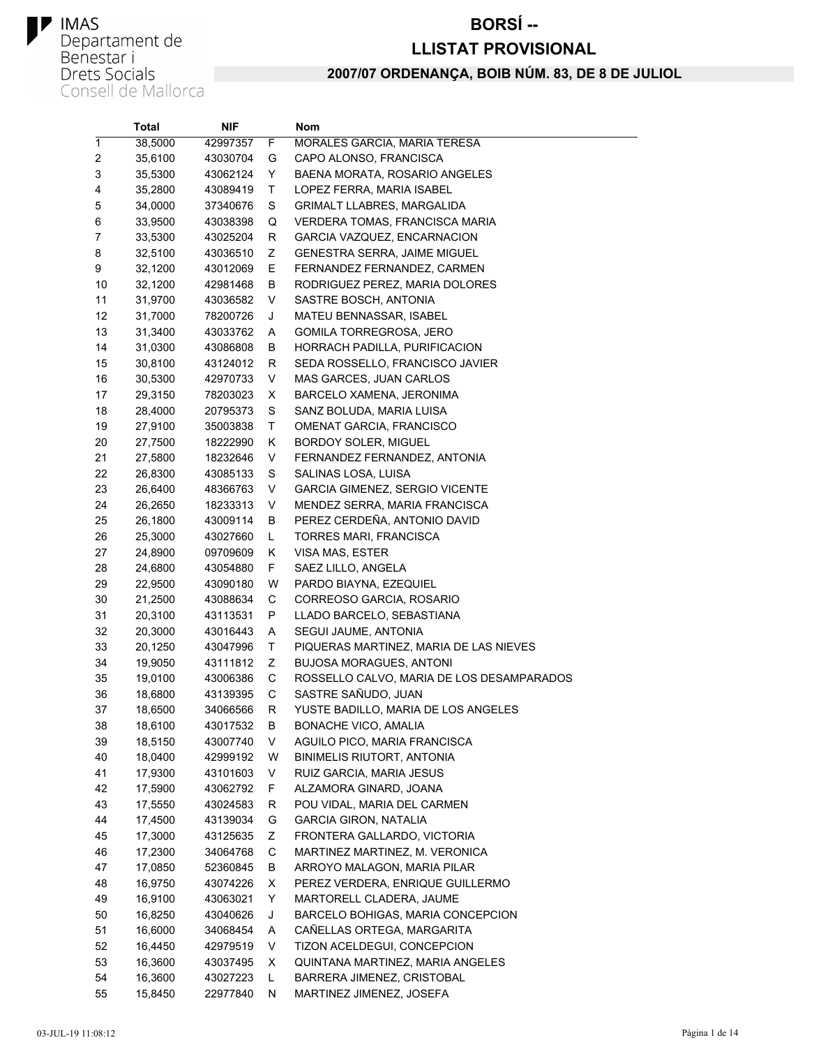#### **BORSÍ--**

#### **LLISTAT PROVISIONAL**

|    | Total   | NIF      |    | <b>Nom</b>                                |
|----|---------|----------|----|-------------------------------------------|
| 1  | 38,5000 | 42997357 | F  | MORALES GARCIA, MARIA TERESA              |
| 2  | 35,6100 | 43030704 | G  | CAPO ALONSO, FRANCISCA                    |
| 3  | 35,5300 | 43062124 | Y  | BAENA MORATA, ROSARIO ANGELES             |
| 4  | 35,2800 | 43089419 | Τ  | LOPEZ FERRA, MARIA ISABEL                 |
| 5  | 34,0000 | 37340676 | S  | GRIMALT LLABRES, MARGALIDA                |
| 6  | 33,9500 | 43038398 | Q  | VERDERA TOMAS, FRANCISCA MARIA            |
| 7  | 33,5300 | 43025204 | R  | GARCIA VAZQUEZ, ENCARNACION               |
| 8  | 32,5100 | 43036510 | Ζ  | GENESTRA SERRA, JAIME MIGUEL              |
| 9  | 32,1200 | 43012069 | Е  | FERNANDEZ FERNANDEZ, CARMEN               |
| 10 | 32,1200 | 42981468 | В  | RODRIGUEZ PEREZ, MARIA DOLORES            |
| 11 | 31,9700 | 43036582 | V  | SASTRE BOSCH, ANTONIA                     |
| 12 | 31,7000 | 78200726 | J  | MATEU BENNASSAR, ISABEL                   |
| 13 | 31,3400 | 43033762 | A  | GOMILA TORREGROSA, JERO                   |
| 14 | 31,0300 | 43086808 | В  | HORRACH PADILLA, PURIFICACION             |
| 15 | 30,8100 | 43124012 | R  | SEDA ROSSELLO, FRANCISCO JAVIER           |
| 16 | 30,5300 | 42970733 | V  | MAS GARCES, JUAN CARLOS                   |
| 17 | 29,3150 | 78203023 | X. | BARCELO XAMENA, JERONIMA                  |
| 18 | 28,4000 | 20795373 | S  | SANZ BOLUDA, MARIA LUISA                  |
| 19 | 27,9100 | 35003838 | Τ  | OMENAT GARCIA, FRANCISCO                  |
| 20 | 27,7500 | 18222990 | Κ  | <b>BORDOY SOLER, MIGUEL</b>               |
| 21 | 27,5800 | 18232646 | V  | FERNANDEZ FERNANDEZ, ANTONIA              |
| 22 | 26,8300 | 43085133 | S  | SALINAS LOSA, LUISA                       |
| 23 | 26,6400 | 48366763 | V  | GARCIA GIMENEZ, SERGIO VICENTE            |
| 24 | 26,2650 | 18233313 | V  | MENDEZ SERRA, MARIA FRANCISCA             |
| 25 | 26,1800 | 43009114 | В  | PEREZ CERDEÑA, ANTONIO DAVID              |
| 26 | 25,3000 | 43027660 | L  | TORRES MARI, FRANCISCA                    |
| 27 | 24,8900 | 09709609 | Κ  | VISA MAS, ESTER                           |
| 28 | 24,6800 | 43054880 | F. | SAEZ LILLO, ANGELA                        |
| 29 | 22,9500 | 43090180 | W  | PARDO BIAYNA, EZEQUIEL                    |
| 30 | 21,2500 | 43088634 | С  | CORREOSO GARCIA, ROSARIO                  |
| 31 | 20,3100 | 43113531 | Ρ  | LLADO BARCELO, SEBASTIANA                 |
| 32 | 20,3000 | 43016443 | Α  | SEGUI JAUME, ANTONIA                      |
| 33 | 20,1250 | 43047996 | Τ  | PIQUERAS MARTINEZ, MARIA DE LAS NIEVES    |
| 34 | 19,9050 | 43111812 | Ζ  | <b>BUJOSA MORAGUES, ANTONI</b>            |
| 35 | 19,0100 | 43006386 | С  | ROSSELLO CALVO, MARIA DE LOS DESAMPARADOS |
| 36 | 18,6800 | 43139395 | С  | SASTRE SAÑUDO, JUAN                       |
| 37 | 18,6500 | 34066566 | R  | YUSTE BADILLO, MARIA DE LOS ANGELES       |
| 38 | 18,6100 | 43017532 | В  | <b>BONACHE VICO, AMALIA</b>               |
| 39 | 18,5150 | 43007740 | V  | AGUILO PICO, MARIA FRANCISCA              |
| 40 | 18,0400 | 42999192 | W  | BINIMELIS RIUTORT, ANTONIA                |
| 41 | 17,9300 | 43101603 | V  | RUIZ GARCIA, MARIA JESUS                  |
| 42 | 17,5900 | 43062792 | F. | ALZAMORA GINARD, JOANA                    |
| 43 | 17,5550 | 43024583 | R  | POU VIDAL, MARIA DEL CARMEN               |
| 44 | 17,4500 | 43139034 | G  | <b>GARCIA GIRON, NATALIA</b>              |
| 45 | 17,3000 | 43125635 | Ζ  | FRONTERA GALLARDO, VICTORIA               |
| 46 | 17,2300 | 34064768 | С  | MARTINEZ MARTINEZ, M. VERONICA            |
| 47 | 17,0850 | 52360845 | В  | ARROYO MALAGON, MARIA PILAR               |
| 48 | 16,9750 | 43074226 | х  | PEREZ VERDERA, ENRIQUE GUILLERMO          |
| 49 | 16,9100 | 43063021 | Y  | MARTORELL CLADERA, JAUME                  |
| 50 | 16,8250 | 43040626 | J  | BARCELO BOHIGAS, MARIA CONCEPCION         |
| 51 | 16,6000 | 34068454 | Α  | CAÑELLAS ORTEGA, MARGARITA                |
| 52 | 16,4450 | 42979519 | V  | TIZON ACELDEGUI, CONCEPCION               |
| 53 | 16,3600 | 43037495 | х  | QUINTANA MARTINEZ, MARIA ANGELES          |
| 54 | 16,3600 | 43027223 | L. | BARRERA JIMENEZ, CRISTOBAL                |
| 55 | 15.8450 | 22977840 | N. | MARTINEZ JIMENEZ. JOSEFA                  |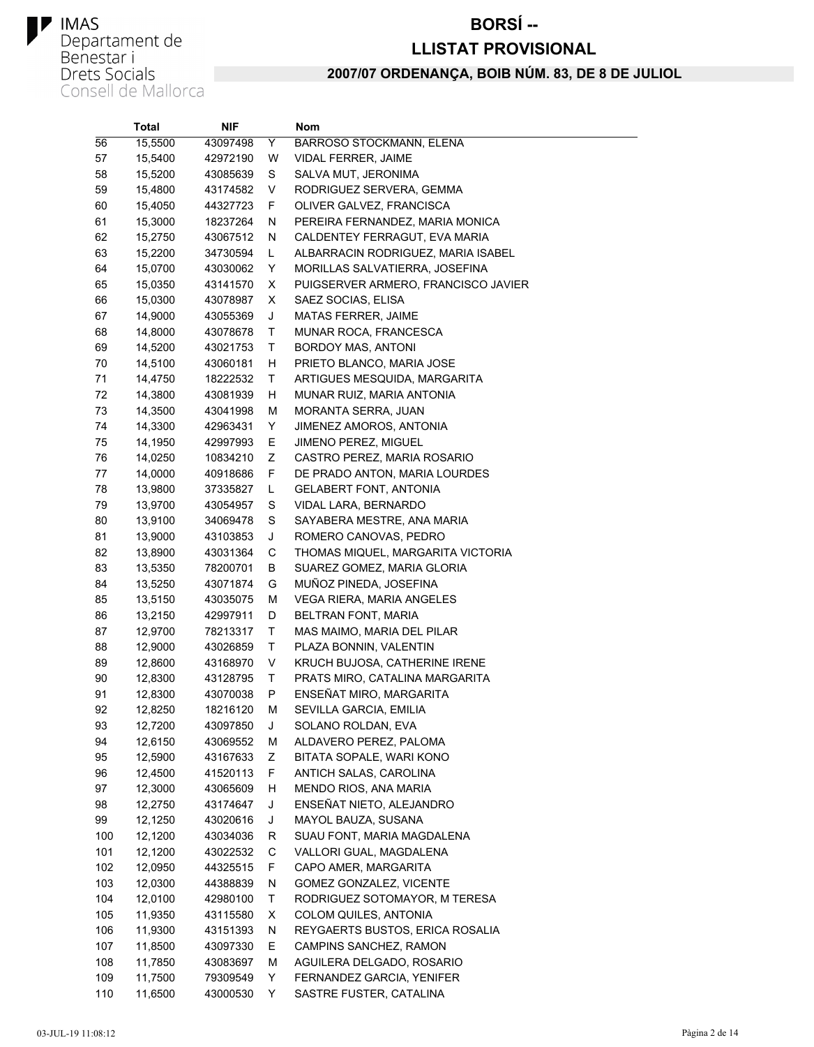#### **BORSÍ--**

#### **LLISTAT PROVISIONAL**

|     | Total   | NIF      |    | Nom                                 |
|-----|---------|----------|----|-------------------------------------|
| 56  | 15,5500 | 43097498 | Y  | BARROSO STOCKMANN, ELENA            |
| 57  | 15,5400 | 42972190 | W  | <b>VIDAL FERRER, JAIME</b>          |
| 58  | 15,5200 | 43085639 | S  | SALVA MUT, JERONIMA                 |
| 59  | 15,4800 | 43174582 | V  | RODRIGUEZ SERVERA, GEMMA            |
| 60  | 15,4050 | 44327723 | F. | OLIVER GALVEZ, FRANCISCA            |
| 61  | 15,3000 | 18237264 | N  | PEREIRA FERNANDEZ, MARIA MONICA     |
| 62  | 15,2750 | 43067512 | N  | CALDENTEY FERRAGUT, EVA MARIA       |
| 63  | 15,2200 | 34730594 | L  | ALBARRACIN RODRIGUEZ, MARIA ISABEL  |
| 64  | 15,0700 | 43030062 | Y  | MORILLAS SALVATIERRA, JOSEFINA      |
| 65  | 15,0350 | 43141570 | X  | PUIGSERVER ARMERO, FRANCISCO JAVIER |
| 66  | 15,0300 | 43078987 | х  | SAEZ SOCIAS, ELISA                  |
| 67  | 14,9000 | 43055369 | J  | <b>MATAS FERRER, JAIME</b>          |
| 68  | 14,8000 | 43078678 | Τ  | MUNAR ROCA, FRANCESCA               |
| 69  | 14,5200 | 43021753 | Τ  | BORDOY MAS, ANTONI                  |
| 70  | 14,5100 | 43060181 | H  | PRIETO BLANCO, MARIA JOSE           |
| 71  | 14,4750 | 18222532 | Τ  | ARTIGUES MESQUIDA, MARGARITA        |
| 72  | 14,3800 | 43081939 | H  | MUNAR RUIZ, MARIA ANTONIA           |
| 73  | 14,3500 | 43041998 | M  | <b>MORANTA SERRA, JUAN</b>          |
| 74  | 14,3300 | 42963431 | Y  | JIMENEZ AMOROS, ANTONIA             |
| 75  | 14,1950 | 42997993 | Е  | <b>JIMENO PEREZ, MIGUEL</b>         |
| 76  | 14,0250 | 10834210 | Ζ  | CASTRO PEREZ, MARIA ROSARIO         |
| 77  | 14,0000 | 40918686 | F  | DE PRADO ANTON, MARIA LOURDES       |
| 78  | 13,9800 | 37335827 | Г  | <b>GELABERT FONT, ANTONIA</b>       |
| 79  | 13,9700 | 43054957 | S  | VIDAL LARA, BERNARDO                |
| 80  | 13,9100 | 34069478 | S  | SAYABERA MESTRE, ANA MARIA          |
| 81  | 13,9000 | 43103853 | J  | ROMERO CANOVAS, PEDRO               |
| 82  | 13,8900 | 43031364 | С  | THOMAS MIQUEL, MARGARITA VICTORIA   |
| 83  | 13,5350 | 78200701 | B  | SUAREZ GOMEZ, MARIA GLORIA          |
| 84  | 13,5250 | 43071874 | G  | MUÑOZ PINEDA, JOSEFINA              |
| 85  | 13,5150 | 43035075 | M  | VEGA RIERA, MARIA ANGELES           |
| 86  | 13,2150 | 42997911 | D  | BELTRAN FONT, MARIA                 |
| 87  | 12,9700 | 78213317 | т  | MAS MAIMO, MARIA DEL PILAR          |
| 88  | 12,9000 | 43026859 | Τ  | PLAZA BONNIN, VALENTIN              |
| 89  | 12,8600 | 43168970 | V  | KRUCH BUJOSA, CATHERINE IRENE       |
| 90  | 12,8300 | 43128795 | т  | PRATS MIRO, CATALINA MARGARITA      |
| 91  | 12,8300 | 43070038 | P  | ENSEÑAT MIRO, MARGARITA             |
| 92  | 12,8250 | 18216120 | М  | SEVILLA GARCIA, EMILIA              |
| 93  | 12,7200 | 43097850 | J  | SOLANO ROLDAN, EVA                  |
| 94  | 12,6150 | 43069552 | M  | ALDAVERO PEREZ, PALOMA              |
| 95  | 12,5900 | 43167633 | Ζ  | BITATA SOPALE, WARI KONO            |
| 96  | 12,4500 | 41520113 | F  | ANTICH SALAS, CAROLINA              |
| 97  | 12,3000 | 43065609 | н  | MENDO RIOS, ANA MARIA               |
| 98  | 12,2750 | 43174647 | J  | ENSEÑAT NIETO, ALEJANDRO            |
| 99  | 12,1250 | 43020616 | J  | MAYOL BAUZA, SUSANA                 |
| 100 | 12,1200 | 43034036 | R  | SUAU FONT, MARIA MAGDALENA          |
| 101 | 12,1200 | 43022532 | С  | VALLORI GUAL, MAGDALENA             |
| 102 | 12,0950 | 44325515 | F  | CAPO AMER, MARGARITA                |
| 103 | 12,0300 | 44388839 | N  | <b>GOMEZ GONZALEZ, VICENTE</b>      |
| 104 | 12,0100 | 42980100 | Τ  | RODRIGUEZ SOTOMAYOR, M TERESA       |
| 105 | 11,9350 | 43115580 | X  | COLOM QUILES, ANTONIA               |
| 106 | 11,9300 | 43151393 | N  | REYGAERTS BUSTOS, ERICA ROSALIA     |
| 107 | 11,8500 | 43097330 | E. | CAMPINS SANCHEZ, RAMON              |
| 108 | 11,7850 | 43083697 | М  | AGUILERA DELGADO, ROSARIO           |
| 109 | 11,7500 | 79309549 | Y  | FERNANDEZ GARCIA, YENIFER           |
| 110 | 11,6500 | 43000530 | Y  | SASTRE FUSTER, CATALINA             |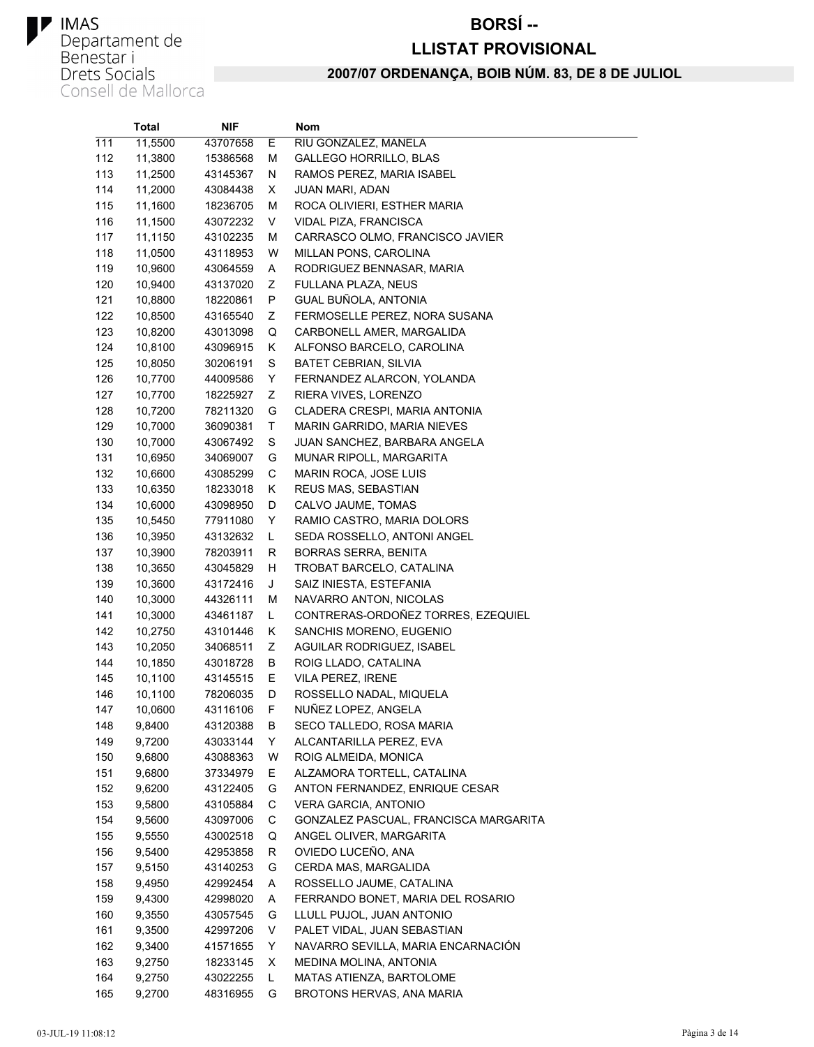#### **BORSÍ--**

#### **LLISTAT PROVISIONAL**

|     | Total   | NIF.     |    | Nom                                   |
|-----|---------|----------|----|---------------------------------------|
| 111 | 11,5500 | 43707658 | Е  | RIU GONZALEZ, MANELA                  |
| 112 | 11,3800 | 15386568 | М  | <b>GALLEGO HORRILLO, BLAS</b>         |
| 113 | 11,2500 | 43145367 | N  | RAMOS PEREZ, MARIA ISABEL             |
| 114 | 11,2000 | 43084438 | X. | JUAN MARI, ADAN                       |
| 115 | 11,1600 | 18236705 | М  | ROCA OLIVIERI, ESTHER MARIA           |
| 116 | 11,1500 | 43072232 | V  | VIDAL PIZA, FRANCISCA                 |
| 117 | 11,1150 | 43102235 | М  | CARRASCO OLMO, FRANCISCO JAVIER       |
| 118 | 11,0500 | 43118953 | W  | MILLAN PONS, CAROLINA                 |
| 119 | 10,9600 | 43064559 | Α  | RODRIGUEZ BENNASAR, MARIA             |
| 120 | 10,9400 | 43137020 | Ζ  | FULLANA PLAZA, NEUS                   |
| 121 | 10,8800 | 18220861 | P  | GUAL BUÑOLA, ANTONIA                  |
| 122 | 10,8500 | 43165540 | Ζ  | FERMOSELLE PEREZ, NORA SUSANA         |
| 123 | 10,8200 | 43013098 | Q  | CARBONELL AMER, MARGALIDA             |
| 124 | 10,8100 | 43096915 | Κ  | ALFONSO BARCELO, CAROLINA             |
| 125 | 10,8050 | 30206191 | S  | <b>BATET CEBRIAN, SILVIA</b>          |
| 126 | 10,7700 | 44009586 | Y  | FERNANDEZ ALARCON, YOLANDA            |
| 127 | 10,7700 | 18225927 | Ζ  | RIERA VIVES, LORENZO                  |
| 128 | 10,7200 | 78211320 | G  | CLADERA CRESPI, MARIA ANTONIA         |
| 129 | 10,7000 | 36090381 | Τ  | MARIN GARRIDO, MARIA NIEVES           |
| 130 | 10,7000 | 43067492 | S  | JUAN SANCHEZ, BARBARA ANGELA          |
| 131 | 10,6950 | 34069007 | G  | MUNAR RIPOLL, MARGARITA               |
| 132 | 10,6600 | 43085299 | С  | MARIN ROCA, JOSE LUIS                 |
| 133 | 10,6350 | 18233018 | Κ  | REUS MAS, SEBASTIAN                   |
| 134 | 10,6000 | 43098950 | D  | CALVO JAUME, TOMAS                    |
| 135 | 10,5450 | 77911080 | Y  | RAMIO CASTRO, MARIA DOLORS            |
| 136 | 10,3950 | 43132632 | L  | SEDA ROSSELLO, ANTONI ANGEL           |
| 137 | 10,3900 | 78203911 | R  | BORRAS SERRA, BENITA                  |
| 138 | 10,3650 | 43045829 | H. | TROBAT BARCELO, CATALINA              |
| 139 | 10,3600 | 43172416 | J  | SAIZ INIESTA, ESTEFANIA               |
| 140 | 10,3000 | 44326111 | М  | NAVARRO ANTON, NICOLAS                |
| 141 | 10,3000 | 43461187 | L. | CONTRERAS-ORDOÑEZ TORRES, EZEQUIEL    |
| 142 | 10,2750 | 43101446 | Κ  | SANCHIS MORENO, EUGENIO               |
| 143 | 10,2050 | 34068511 | Ζ  | AGUILAR RODRIGUEZ, ISABEL             |
| 144 | 10,1850 | 43018728 | B  | ROIG LLADO, CATALINA                  |
| 145 | 10,1100 | 43145515 | Ε  | VILA PEREZ, IRENE                     |
| 146 | 10,1100 | 78206035 | D  | ROSSELLO NADAL, MIQUELA               |
| 147 | 10,0600 | 43116106 | F  | NUNEZ LOPEZ, ANGELA                   |
| 148 | 9,8400  | 43120388 | В  | SECO TALLEDO, ROSA MARIA              |
| 149 | 9,7200  | 43033144 | Y  | ALCANTARILLA PEREZ, EVA               |
| 150 | 9,6800  | 43088363 | W  | ROIG ALMEIDA, MONICA                  |
| 151 | 9,6800  | 37334979 | E. | ALZAMORA TORTELL, CATALINA            |
| 152 | 9,6200  | 43122405 | G  | ANTON FERNANDEZ, ENRIQUE CESAR        |
| 153 | 9,5800  | 43105884 | С  | VERA GARCIA, ANTONIO                  |
| 154 | 9,5600  | 43097006 | С  | GONZALEZ PASCUAL, FRANCISCA MARGARITA |
| 155 | 9,5550  | 43002518 | Q  | ANGEL OLIVER, MARGARITA               |
| 156 | 9,5400  | 42953858 | R  | OVIEDO LUCEÑO, ANA                    |
| 157 | 9,5150  | 43140253 | G  | CERDA MAS, MARGALIDA                  |
| 158 | 9,4950  | 42992454 | A  | ROSSELLO JAUME, CATALINA              |
| 159 | 9,4300  | 42998020 | A  | FERRANDO BONET, MARIA DEL ROSARIO     |
| 160 | 9,3550  | 43057545 | G  | LLULL PUJOL, JUAN ANTONIO             |
| 161 | 9,3500  | 42997206 | V  | PALET VIDAL, JUAN SEBASTIAN           |
| 162 | 9,3400  | 41571655 | Y  | NAVARRO SEVILLA, MARIA ENCARNACIÓN    |
| 163 | 9,2750  | 18233145 | X. | MEDINA MOLINA, ANTONIA                |
| 164 | 9,2750  | 43022255 | L  | MATAS ATIENZA, BARTOLOME              |
| 165 | 9,2700  | 48316955 | G  | BROTONS HERVAS, ANA MARIA             |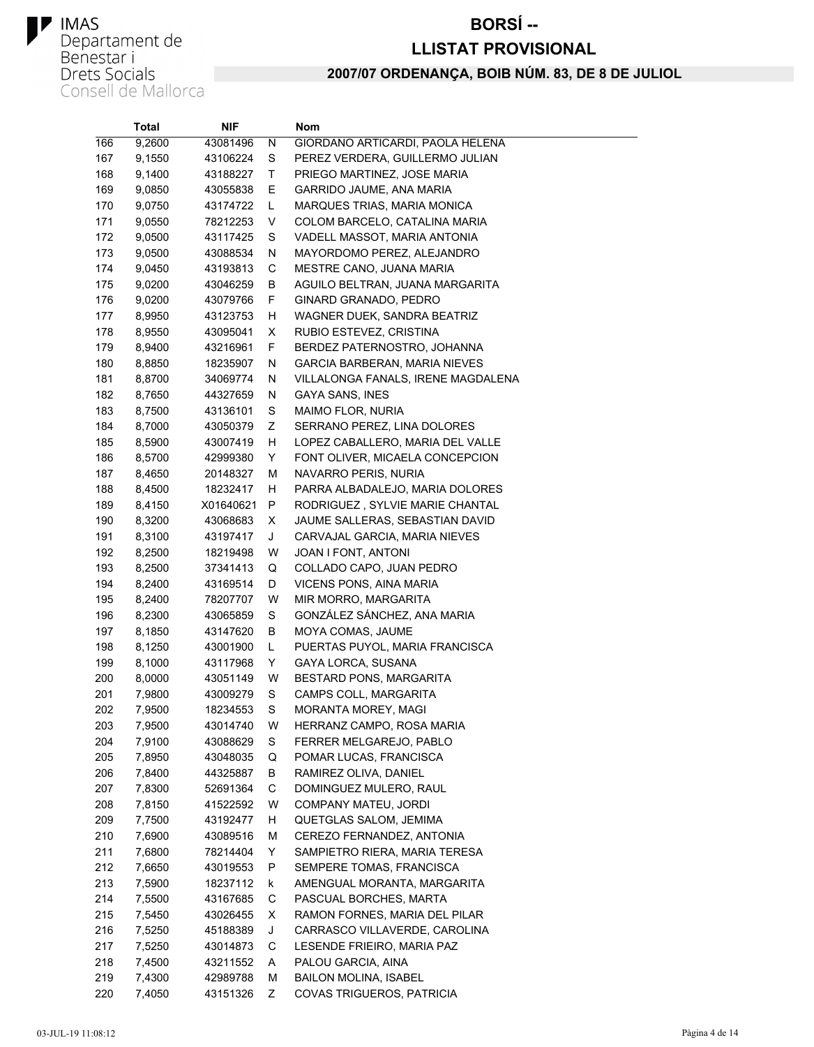#### **BORSÍ--**

#### **LLISTAT PROVISIONAL**

|     | <b>Total</b> | NIF       |   | Nom                                |
|-----|--------------|-----------|---|------------------------------------|
| 166 | 9,2600       | 43081496  | N | GIORDANO ARTICARDI, PAOLA HELENA   |
| 167 | 9,1550       | 43106224  | S | PEREZ VERDERA. GUILLERMO JULIAN    |
| 168 | 9,1400       | 43188227  | Τ | PRIEGO MARTINEZ, JOSE MARIA        |
| 169 | 9,0850       | 43055838  | Ε | GARRIDO JAUME, ANA MARIA           |
| 170 | 9,0750       | 43174722  | L | MARQUES TRIAS, MARIA MONICA        |
| 171 | 9,0550       | 78212253  | V | COLOM BARCELO, CATALINA MARIA      |
| 172 | 9,0500       | 43117425  | S | VADELL MASSOT, MARIA ANTONIA       |
| 173 | 9,0500       | 43088534  | N | MAYORDOMO PEREZ, ALEJANDRO         |
| 174 | 9,0450       | 43193813  | С | MESTRE CANO, JUANA MARIA           |
| 175 | 9,0200       | 43046259  | В | AGUILO BELTRAN, JUANA MARGARITA    |
| 176 | 9,0200       | 43079766  | F | GINARD GRANADO, PEDRO              |
| 177 | 8,9950       | 43123753  | н | WAGNER DUEK, SANDRA BEATRIZ        |
| 178 | 8,9550       | 43095041  | X | RUBIO ESTEVEZ, CRISTINA            |
| 179 | 8,9400       | 43216961  | F | BERDEZ PATERNOSTRO, JOHANNA        |
| 180 | 8,8850       | 18235907  | N | GARCIA BARBERAN, MARIA NIEVES      |
| 181 | 8,8700       | 34069774  | N | VILLALONGA FANALS, IRENE MAGDALENA |
| 182 | 8,7650       | 44327659  | N | GAYA SANS, INES                    |
| 183 | 8,7500       | 43136101  | S | <b>MAIMO FLOR, NURIA</b>           |
| 184 | 8,7000       | 43050379  | Ζ | SERRANO PEREZ, LINA DOLORES        |
| 185 | 8,5900       | 43007419  | н | LOPEZ CABALLERO, MARIA DEL VALLE   |
| 186 | 8,5700       | 42999380  | Y | FONT OLIVER, MICAELA CONCEPCION    |
| 187 | 8,4650       | 20148327  | М | NAVARRO PERIS, NURIA               |
| 188 | 8,4500       | 18232417  | н | PARRA ALBADALEJO, MARIA DOLORES    |
| 189 | 8,4150       | X01640621 | P | RODRIGUEZ, SYLVIE MARIE CHANTAL    |
| 190 | 8,3200       | 43068683  | X | JAUME SALLERAS, SEBASTIAN DAVID    |
| 191 | 8,3100       | 43197417  | J | CARVAJAL GARCIA, MARIA NIEVES      |
| 192 | 8,2500       | 18219498  | W | JOAN I FONT, ANTONI                |
| 193 | 8,2500       | 37341413  | Q | COLLADO CAPO, JUAN PEDRO           |
| 194 | 8,2400       | 43169514  | D | VICENS PONS, AINA MARIA            |
| 195 | 8,2400       | 78207707  | W | MIR MORRO, MARGARITA               |
| 196 | 8,2300       | 43065859  | S | GONZÁLEZ SÁNCHEZ, ANA MARIA        |
| 197 | 8,1850       | 43147620  | В | MOYA COMAS, JAUME                  |
| 198 | 8,1250       | 43001900  | Г | PUERTAS PUYOL, MARIA FRANCISCA     |
| 199 | 8,1000       | 43117968  | Υ | GAYA LORCA, SUSANA                 |
| 200 | 8,0000       | 43051149  | W | BESTARD PONS, MARGARITA            |
| 201 | 7,9800       | 43009279  | S | CAMPS COLL, MARGARITA              |
| 202 | 7,9500       | 18234553  | S | MORANTA MOREY, MAGI                |
| 203 | 7,9500       | 43014740  | W | HERRANZ CAMPO, ROSA MARIA          |
| 204 | 7,9100       | 43088629  | S | FERRER MELGAREJO, PABLO            |
| 205 | 7,8950       | 43048035  | Q | POMAR LUCAS, FRANCISCA             |
| 206 | 7,8400       | 44325887  | В | RAMIREZ OLIVA, DANIEL              |
| 207 | 7,8300       | 52691364  | С | DOMINGUEZ MULERO, RAUL             |
| 208 | 7,8150       | 41522592  | W | COMPANY MATEU, JORDI               |
| 209 | 7,7500       | 43192477  | н | QUETGLAS SALOM, JEMIMA             |
| 210 | 7,6900       | 43089516  | М | CEREZO FERNANDEZ, ANTONIA          |
| 211 | 7,6800       | 78214404  | Y | SAMPIETRO RIERA, MARIA TERESA      |
| 212 | 7,6650       | 43019553  | P | SEMPERE TOMAS, FRANCISCA           |
| 213 | 7,5900       | 18237112  | k | AMENGUAL MORANTA, MARGARITA        |
| 214 | 7,5500       | 43167685  | С | PASCUAL BORCHES, MARTA             |
| 215 | 7,5450       | 43026455  | X | RAMON FORNES, MARIA DEL PILAR      |
| 216 | 7,5250       | 45188389  | J | CARRASCO VILLAVERDE, CAROLINA      |
| 217 | 7,5250       | 43014873  | С | LESENDE FRIEIRO, MARIA PAZ         |
| 218 | 7,4500       | 43211552  | A | PALOU GARCIA, AINA                 |
| 219 | 7,4300       | 42989788  | М | <b>BAILON MOLINA, ISABEL</b>       |
| 220 | 7,4050       | 43151326  | Ζ | COVAS TRIGUEROS, PATRICIA          |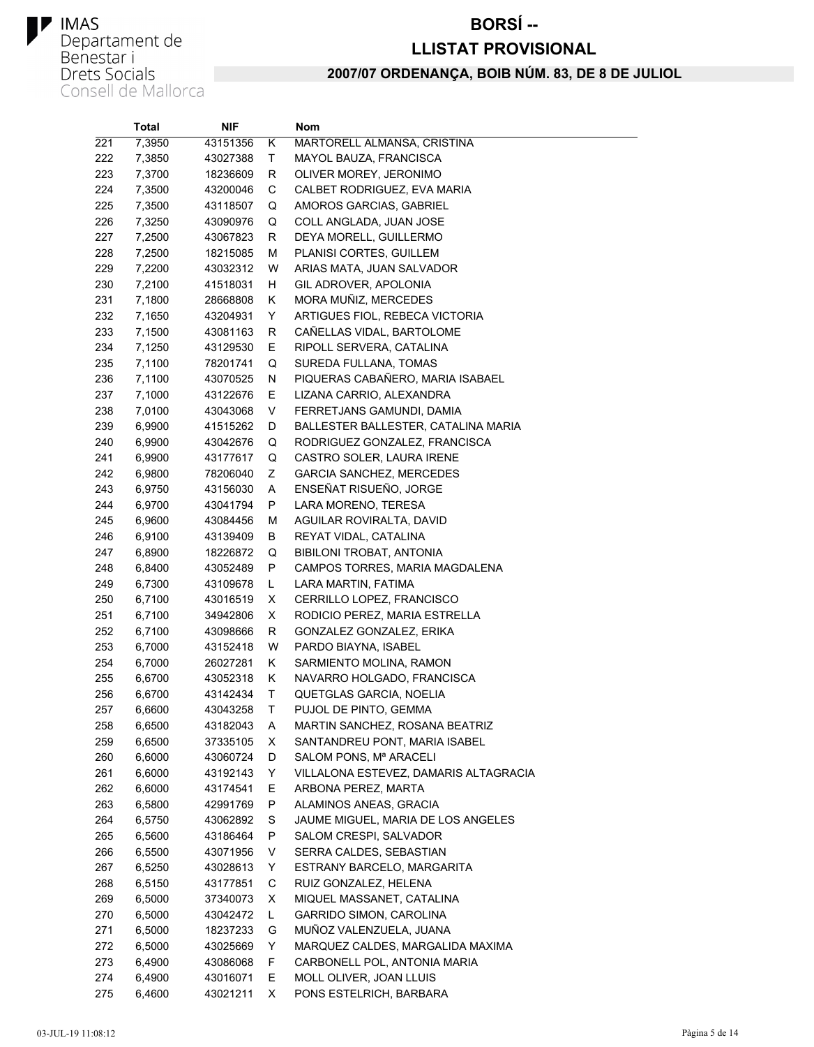#### **BORSÍ--**

#### **LLISTAT PROVISIONAL**

|     | Total  | NIF.     |    | Nom                                   |
|-----|--------|----------|----|---------------------------------------|
| 221 | 7,3950 | 43151356 | Κ  | MARTORELL ALMANSA, CRISTINA           |
| 222 | 7,3850 | 43027388 | T  | MAYOL BAUZA, FRANCISCA                |
| 223 | 7,3700 | 18236609 | R  | OLIVER MOREY, JERONIMO                |
| 224 | 7,3500 | 43200046 | С  | CALBET RODRIGUEZ, EVA MARIA           |
| 225 | 7,3500 | 43118507 | Q  | AMOROS GARCIAS, GABRIEL               |
| 226 | 7,3250 | 43090976 | Q  | COLL ANGLADA, JUAN JOSE               |
| 227 | 7,2500 | 43067823 | R  | DEYA MORELL, GUILLERMO                |
| 228 | 7,2500 | 18215085 | М  | PLANISI CORTES, GUILLEM               |
| 229 | 7,2200 | 43032312 | W  | ARIAS MATA, JUAN SALVADOR             |
| 230 | 7,2100 | 41518031 | н  | GIL ADROVER, APOLONIA                 |
| 231 | 7,1800 | 28668808 | Κ  | MORA MUÑIZ, MERCEDES                  |
| 232 | 7,1650 | 43204931 | Υ  | ARTIGUES FIOL, REBECA VICTORIA        |
| 233 | 7,1500 | 43081163 | R  | CANELLAS VIDAL, BARTOLOME             |
| 234 | 7,1250 | 43129530 | Ε  | RIPOLL SERVERA, CATALINA              |
| 235 | 7,1100 | 78201741 | Q  | SUREDA FULLANA, TOMAS                 |
| 236 | 7,1100 | 43070525 | N  | PIQUERAS CABAÑERO, MARIA ISABAEL      |
| 237 | 7,1000 | 43122676 | Е  | LIZANA CARRIO, ALEXANDRA              |
| 238 | 7,0100 | 43043068 | V  | FERRETJANS GAMUNDI, DAMIA             |
| 239 | 6,9900 | 41515262 | D  | BALLESTER BALLESTER, CATALINA MARIA   |
| 240 | 6,9900 | 43042676 | Q  | RODRIGUEZ GONZALEZ, FRANCISCA         |
| 241 | 6,9900 | 43177617 | Q  | CASTRO SOLER, LAURA IRENE             |
| 242 | 6,9800 | 78206040 | Ζ  | <b>GARCIA SANCHEZ, MERCEDES</b>       |
| 243 | 6,9750 | 43156030 | Α  | ENSEÑAT RISUEÑO, JORGE                |
| 244 | 6,9700 | 43041794 | P  | LARA MORENO, TERESA                   |
| 245 | 6,9600 | 43084456 | M  | AGUILAR ROVIRALTA, DAVID              |
| 246 | 6,9100 | 43139409 | В  | REYAT VIDAL, CATALINA                 |
| 247 | 6,8900 | 18226872 | Q  | BIBILONI TROBAT, ANTONIA              |
| 248 | 6,8400 | 43052489 | P  | CAMPOS TORRES, MARIA MAGDALENA        |
| 249 | 6,7300 | 43109678 | Г  | LARA MARTIN, FATIMA                   |
| 250 | 6,7100 | 43016519 | х  | CERRILLO LOPEZ, FRANCISCO             |
| 251 | 6,7100 | 34942806 | X  | RODICIO PEREZ, MARIA ESTRELLA         |
| 252 | 6,7100 | 43098666 | R  | GONZALEZ GONZALEZ, ERIKA              |
| 253 | 6,7000 | 43152418 | W  | PARDO BIAYNA, ISABEL                  |
| 254 | 6,7000 | 26027281 | Κ  | SARMIENTO MOLINA, RAMON               |
| 255 | 6,6700 | 43052318 | Κ  | NAVARRO HOLGADO, FRANCISCA            |
| 256 | 6,6700 | 43142434 | T  | QUETGLAS GARCIA, NOELIA               |
| 257 | 6,6600 | 43043258 | T  | PUJOL DE PINTO, GEMMA                 |
| 258 | 6,6500 | 43182043 | Α  | MARTIN SANCHEZ, ROSANA BEATRIZ        |
| 259 | 6,6500 | 37335105 | X  | SANTANDREU PONT, MARIA ISABEL         |
| 260 | 6,6000 | 43060724 | D  | SALOM PONS, Mª ARACELI                |
| 261 | 6,6000 | 43192143 | Y  | VILLALONA ESTEVEZ, DAMARIS ALTAGRACIA |
| 262 | 6,6000 | 43174541 | Е  | ARBONA PEREZ, MARTA                   |
| 263 | 6,5800 | 42991769 | P  | ALAMINOS ANEAS, GRACIA                |
| 264 | 6,5750 | 43062892 | S  | JAUME MIGUEL, MARIA DE LOS ANGELES    |
| 265 | 6,5600 | 43186464 | P  | SALOM CRESPI, SALVADOR                |
| 266 | 6,5500 | 43071956 | V  | SERRA CALDES, SEBASTIAN               |
| 267 | 6,5250 | 43028613 | Υ  | ESTRANY BARCELO, MARGARITA            |
| 268 | 6,5150 | 43177851 | C  | RUIZ GONZALEZ, HELENA                 |
| 269 | 6,5000 | 37340073 | X  | MIQUEL MASSANET, CATALINA             |
| 270 | 6,5000 | 43042472 | L  | GARRIDO SIMON, CAROLINA               |
| 271 | 6,5000 | 18237233 | G  | MUÑOZ VALENZUELA, JUANA               |
| 272 | 6,5000 | 43025669 | Y  | MARQUEZ CALDES, MARGALIDA MAXIMA      |
| 273 | 6,4900 | 43086068 | F. | CARBONELL POL, ANTONIA MARIA          |
| 274 | 6,4900 | 43016071 | E. | MOLL OLIVER, JOAN LLUIS               |
| 275 | 6,4600 | 43021211 | X  | PONS ESTELRICH, BARBARA               |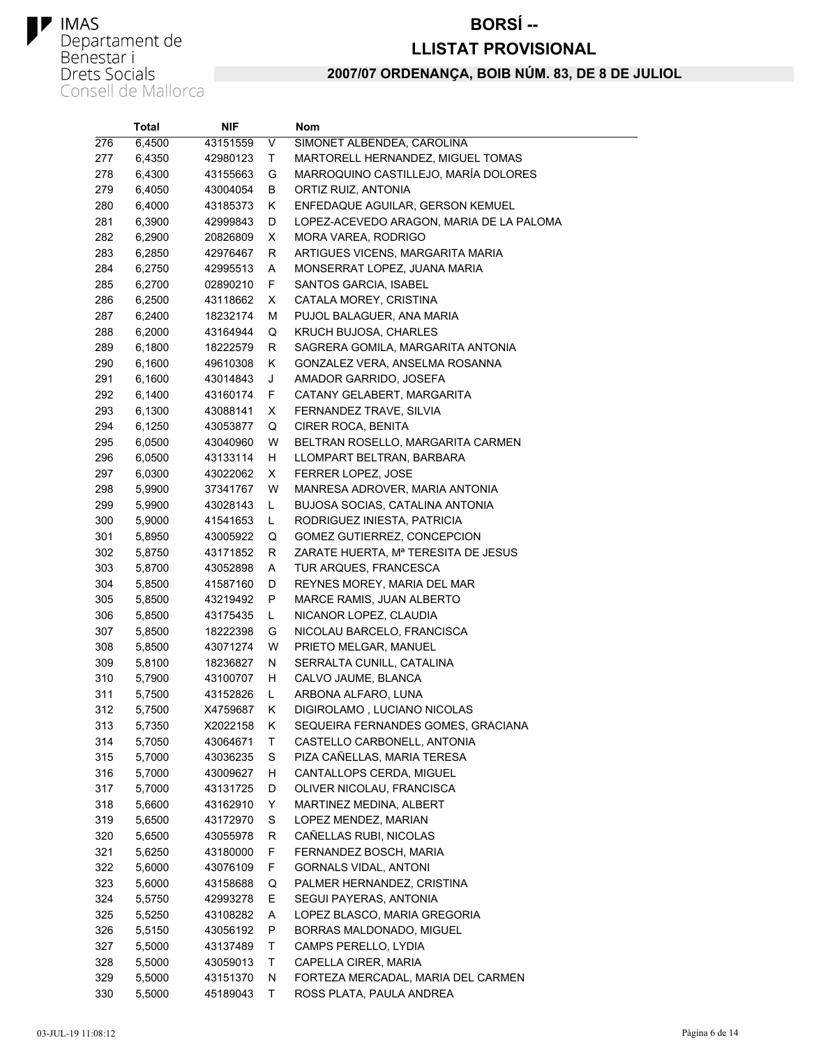#### **BORSÍ--**

#### **LLISTAT PROVISIONAL**

|     | <b>Total</b> | NIF      |    | Nom                                      |
|-----|--------------|----------|----|------------------------------------------|
| 276 | 6,4500       | 43151559 | V  | SIMONET ALBENDEA, CAROLINA               |
| 277 | 6,4350       | 42980123 | Τ  | MARTORELL HERNANDEZ, MIGUEL TOMAS        |
| 278 | 6,4300       | 43155663 | G  | MARROQUINO CASTILLEJO, MARÍA DOLORES     |
| 279 | 6,4050       | 43004054 | В  | ORTIZ RUIZ, ANTONIA                      |
| 280 | 6,4000       | 43185373 | Κ  | ENFEDAQUE AGUILAR, GERSON KEMUEL         |
| 281 | 6,3900       | 42999843 | D  | LOPEZ-ACEVEDO ARAGON, MARIA DE LA PALOMA |
| 282 | 6,2900       | 20826809 | X  | MORA VAREA, RODRIGO                      |
| 283 | 6,2850       | 42976467 | R  | ARTIGUES VICENS, MARGARITA MARIA         |
| 284 | 6,2750       | 42995513 | A  | MONSERRAT LOPEZ, JUANA MARIA             |
| 285 | 6,2700       | 02890210 | F  | <b>SANTOS GARCIA, ISABEL</b>             |
| 286 | 6,2500       | 43118662 | X  | CATALA MOREY, CRISTINA                   |
| 287 | 6,2400       | 18232174 | М  | PUJOL BALAGUER, ANA MARIA                |
| 288 | 6,2000       | 43164944 | Q  | KRUCH BUJOSA, CHARLES                    |
| 289 | 6,1800       | 18222579 | R  | SAGRERA GOMILA, MARGARITA ANTONIA        |
| 290 | 6,1600       | 49610308 | Κ  | GONZALEZ VERA, ANSELMA ROSANNA           |
| 291 | 6,1600       | 43014843 | J  | AMADOR GARRIDO, JOSEFA                   |
| 292 | 6,1400       | 43160174 | F. | CATANY GELABERT, MARGARITA               |
| 293 | 6,1300       | 43088141 | X  | FERNANDEZ TRAVE, SILVIA                  |
| 294 | 6,1250       | 43053877 | Q  | <b>CIRER ROCA, BENITA</b>                |
| 295 | 6,0500       | 43040960 | W  | BELTRAN ROSELLO, MARGARITA CARMEN        |
| 296 | 6,0500       | 43133114 | H  | LLOMPART BELTRAN, BARBARA                |
| 297 | 6,0300       | 43022062 | X  | FERRER LOPEZ, JOSE                       |
| 298 | 5,9900       | 37341767 | W  | MANRESA ADROVER, MARIA ANTONIA           |
| 299 | 5,9900       | 43028143 | L  | BUJOSA SOCIAS, CATALINA ANTONIA          |
| 300 | 5,9000       | 41541653 | L. | RODRIGUEZ INIESTA, PATRICIA              |
| 301 | 5,8950       | 43005922 | Q  | GOMEZ GUTIERREZ, CONCEPCION              |
| 302 | 5,8750       | 43171852 | R  | ZARATE HUERTA, Mª TERESITA DE JESUS      |
| 303 | 5,8700       | 43052898 | Α  | TUR ARQUES, FRANCESCA                    |
| 304 | 5,8500       | 41587160 | D  | REYNES MOREY, MARIA DEL MAR              |
| 305 | 5,8500       | 43219492 | P  | MARCE RAMIS, JUAN ALBERTO                |
| 306 | 5,8500       | 43175435 | L  | NICANOR LOPEZ, CLAUDIA                   |
| 307 | 5,8500       | 18222398 | G  | NICOLAU BARCELO, FRANCISCA               |
| 308 | 5,8500       | 43071274 | W  | PRIETO MELGAR, MANUEL                    |
| 309 | 5,8100       | 18236827 | N  | SERRALTA CUNILL, CATALINA                |
| 310 | 5,7900       | 43100707 | H  | CALVO JAUME, BLANCA                      |
| 311 | 5,7500       | 43152826 | L  | ARBONA ALFARO, LUNA                      |
| 312 | 5,7500       | X4759687 | Κ  | DIGIROLAMO, LUCIANO NICOLAS              |
| 313 | 5,7350       | X2022158 | ĸ  | SEQUEIRA FERNANDES GOMES, GRACIANA       |
| 314 | 5,7050       | 43064671 | Τ  | CASTELLO CARBONELL, ANTONIA              |
| 315 | 5,7000       | 43036235 | S  | PIZA CAÑELLAS, MARIA TERESA              |
| 316 | 5,7000       | 43009627 | H  | CANTALLOPS CERDA, MIGUEL                 |
| 317 | 5,7000       | 43131725 | D  | OLIVER NICOLAU, FRANCISCA                |
| 318 | 5,6600       | 43162910 | Y  | MARTINEZ MEDINA, ALBERT                  |
| 319 | 5,6500       | 43172970 | S  | LOPEZ MENDEZ, MARIAN                     |
| 320 | 5,6500       | 43055978 | R  | CAÑELLAS RUBI, NICOLAS                   |
| 321 | 5,6250       | 43180000 | F  | FERNANDEZ BOSCH, MARIA                   |
| 322 | 5,6000       | 43076109 | F  | GORNALS VIDAL, ANTONI                    |
| 323 | 5,6000       | 43158688 | Q  | PALMER HERNANDEZ, CRISTINA               |
| 324 | 5,5750       | 42993278 | E. | SEGUI PAYERAS, ANTONIA                   |
| 325 | 5,5250       | 43108282 | A  | LOPEZ BLASCO, MARIA GREGORIA             |
| 326 | 5,5150       | 43056192 | P  | BORRAS MALDONADO, MIGUEL                 |
| 327 | 5,5000       | 43137489 | т  | CAMPS PERELLO, LYDIA                     |
| 328 | 5,5000       | 43059013 | т  | CAPELLA CIRER, MARIA                     |
| 329 | 5,5000       | 43151370 | N  | FORTEZA MERCADAL, MARIA DEL CARMEN       |
| 330 | 5,5000       | 45189043 | т  | ROSS PLATA, PAULA ANDREA                 |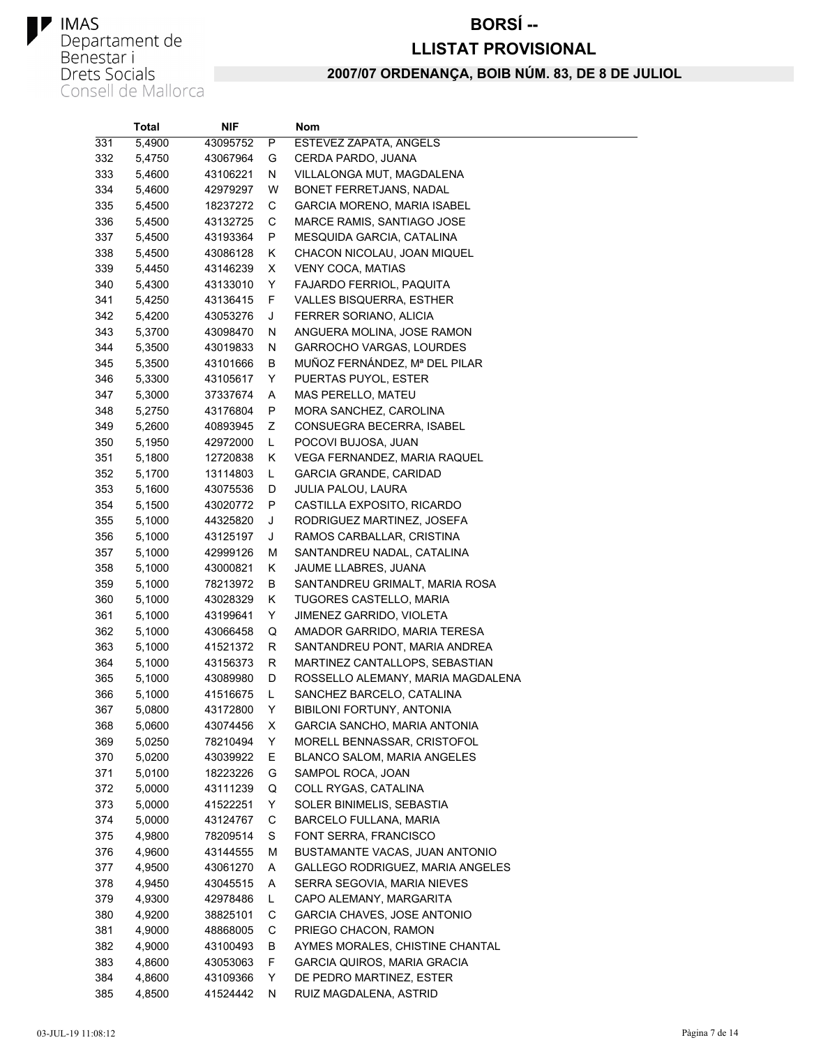#### **BORSÍ--**

#### **LLISTAT PROVISIONAL**

|     | Total  | NIF      |    | Nom                                |
|-----|--------|----------|----|------------------------------------|
| 331 | 5,4900 | 43095752 | P  | ESTEVEZ ZAPATA, ANGELS             |
| 332 | 5,4750 | 43067964 | G  | CERDA PARDO, JUANA                 |
| 333 | 5,4600 | 43106221 | N  | VILLALONGA MUT, MAGDALENA          |
| 334 | 5,4600 | 42979297 | W  | BONET FERRETJANS, NADAL            |
| 335 | 5,4500 | 18237272 | С  | <b>GARCIA MORENO, MARIA ISABEL</b> |
| 336 | 5,4500 | 43132725 | С  | MARCE RAMIS, SANTIAGO JOSE         |
| 337 | 5,4500 | 43193364 | P  | MESQUIDA GARCIA, CATALINA          |
| 338 | 5,4500 | 43086128 | Κ  | CHACON NICOLAU, JOAN MIQUEL        |
| 339 | 5,4450 | 43146239 | X. | <b>VENY COCA, MATIAS</b>           |
| 340 | 5,4300 | 43133010 | Y  | FAJARDO FERRIOL, PAQUITA           |
| 341 | 5,4250 | 43136415 | F  | VALLES BISQUERRA, ESTHER           |
| 342 | 5,4200 | 43053276 | J  | FERRER SORIANO, ALICIA             |
| 343 | 5,3700 | 43098470 | N  | ANGUERA MOLINA, JOSE RAMON         |
| 344 | 5,3500 | 43019833 | N  | GARROCHO VARGAS, LOURDES           |
| 345 | 5,3500 | 43101666 | В  | MUÑOZ FERNÁNDEZ, Mª DEL PILAR      |
| 346 | 5,3300 | 43105617 | Y. | PUERTAS PUYOL, ESTER               |
| 347 | 5,3000 | 37337674 | A  | MAS PERELLO, MATEU                 |
| 348 | 5,2750 | 43176804 | P  | MORA SANCHEZ, CAROLINA             |
| 349 | 5,2600 | 40893945 | Ζ  | CONSUEGRA BECERRA, ISABEL          |
| 350 | 5,1950 | 42972000 | Г  | POCOVI BUJOSA, JUAN                |
| 351 | 5,1800 | 12720838 | K. | VEGA FERNANDEZ, MARIA RAQUEL       |
| 352 | 5,1700 | 13114803 | L  | <b>GARCIA GRANDE, CARIDAD</b>      |
| 353 | 5,1600 | 43075536 | D  | JULIA PALOU, LAURA                 |
| 354 | 5,1500 | 43020772 | P  | CASTILLA EXPOSITO, RICARDO         |
| 355 | 5,1000 | 44325820 | J  | RODRIGUEZ MARTINEZ, JOSEFA         |
| 356 | 5,1000 | 43125197 | J  | RAMOS CARBALLAR, CRISTINA          |
| 357 | 5,1000 | 42999126 | М  | SANTANDREU NADAL, CATALINA         |
| 358 | 5,1000 | 43000821 | K. | JAUME LLABRES, JUANA               |
| 359 | 5,1000 | 78213972 | В  | SANTANDREU GRIMALT, MARIA ROSA     |
| 360 | 5,1000 | 43028329 | K. | <b>TUGORES CASTELLO, MARIA</b>     |
| 361 | 5,1000 | 43199641 | Y  | JIMENEZ GARRIDO, VIOLETA           |
| 362 | 5,1000 | 43066458 | Q  | AMADOR GARRIDO, MARIA TERESA       |
| 363 | 5,1000 | 41521372 | R  | SANTANDREU PONT, MARIA ANDREA      |
| 364 | 5,1000 | 43156373 | R  | MARTINEZ CANTALLOPS, SEBASTIAN     |
| 365 | 5,1000 | 43089980 | D  | ROSSELLO ALEMANY, MARIA MAGDALENA  |
| 366 | 5,1000 | 41516675 | L. | SANCHEZ BARCELO, CATALINA          |
| 367 | 5,0800 | 43172800 | Y. | <b>BIBILONI FORTUNY, ANTONIA</b>   |
| 368 | 5,0600 | 43074456 | X  | GARCIA SANCHO, MARIA ANTONIA       |
| 369 | 5,0250 | 78210494 | Y  | MORELL BENNASSAR, CRISTOFOL        |
| 370 | 5,0200 | 43039922 | Е  | BLANCO SALOM, MARIA ANGELES        |
| 371 | 5,0100 | 18223226 | G  | SAMPOL ROCA, JOAN                  |
| 372 | 5,0000 | 43111239 | Q  | COLL RYGAS, CATALINA               |
| 373 | 5,0000 | 41522251 | Y  | SOLER BINIMELIS, SEBASTIA          |
| 374 | 5,0000 | 43124767 | С  | BARCELO FULLANA, MARIA             |
| 375 | 4,9800 | 78209514 | S  | FONT SERRA, FRANCISCO              |
| 376 | 4,9600 | 43144555 | М  | BUSTAMANTE VACAS, JUAN ANTONIO     |
| 377 | 4,9500 | 43061270 | A  | GALLEGO RODRIGUEZ, MARIA ANGELES   |
| 378 | 4,9450 | 43045515 | Α  | SERRA SEGOVIA, MARIA NIEVES        |
| 379 | 4,9300 | 42978486 | L. | CAPO ALEMANY, MARGARITA            |
| 380 | 4,9200 | 38825101 | С  | <b>GARCIA CHAVES, JOSE ANTONIO</b> |
| 381 | 4,9000 | 48868005 | С  | PRIEGO CHACON, RAMON               |
| 382 | 4,9000 | 43100493 | В  | AYMES MORALES, CHISTINE CHANTAL    |
| 383 | 4,8600 | 43053063 | F. | <b>GARCIA QUIROS, MARIA GRACIA</b> |
| 384 | 4,8600 | 43109366 | Y. | DE PEDRO MARTINEZ, ESTER           |
| 385 | 4,8500 | 41524442 | N  | RUIZ MAGDALENA, ASTRID             |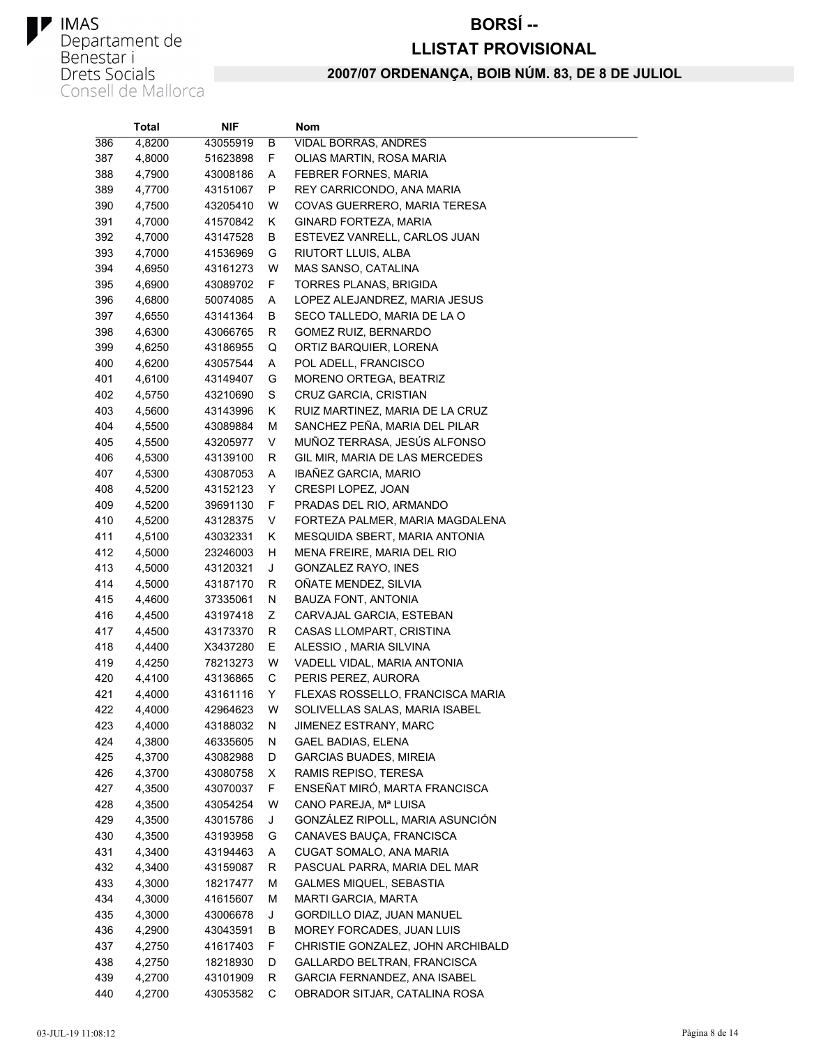#### **BORSÍ--**

#### **LLISTAT PROVISIONAL**

|     | <b>Total</b> | NIF      |    | Nom                               |
|-----|--------------|----------|----|-----------------------------------|
| 386 | 4,8200       | 43055919 | В  | <b>VIDAL BORRAS, ANDRES</b>       |
| 387 | 4,8000       | 51623898 | F. | OLIAS MARTIN, ROSA MARIA          |
| 388 | 4,7900       | 43008186 | A  | FEBRER FORNES, MARIA              |
| 389 | 4,7700       | 43151067 | P  | REY CARRICONDO, ANA MARIA         |
| 390 | 4,7500       | 43205410 | W  | COVAS GUERRERO, MARIA TERESA      |
| 391 | 4,7000       | 41570842 | K. | GINARD FORTEZA, MARIA             |
| 392 | 4,7000       | 43147528 | В  | ESTEVEZ VANRELL, CARLOS JUAN      |
| 393 | 4,7000       | 41536969 | G  | RIUTORT LLUIS, ALBA               |
| 394 | 4,6950       | 43161273 | W  | MAS SANSO, CATALINA               |
| 395 | 4,6900       | 43089702 | F. | TORRES PLANAS, BRIGIDA            |
| 396 | 4,6800       | 50074085 | A  | LOPEZ ALEJANDREZ, MARIA JESUS     |
| 397 | 4,6550       | 43141364 | В  | SECO TALLEDO, MARIA DE LA O       |
| 398 | 4,6300       | 43066765 | R  | GOMEZ RUIZ, BERNARDO              |
| 399 | 4,6250       | 43186955 | Q  | ORTIZ BARQUIER, LORENA            |
| 400 | 4,6200       | 43057544 | A  | POL ADELL, FRANCISCO              |
| 401 | 4,6100       | 43149407 | G  | MORENO ORTEGA, BEATRIZ            |
| 402 | 4,5750       | 43210690 | S  | CRUZ GARCIA, CRISTIAN             |
| 403 | 4,5600       | 43143996 | K. | RUIZ MARTINEZ, MARIA DE LA CRUZ   |
| 404 | 4,5500       | 43089884 | М  | SANCHEZ PEÑA, MARIA DEL PILAR     |
| 405 | 4,5500       | 43205977 | V  | MUÑOZ TERRASA, JESÚS ALFONSO      |
| 406 | 4,5300       | 43139100 | R  | GIL MIR, MARIA DE LAS MERCEDES    |
| 407 | 4,5300       | 43087053 | Α  | IBAÑEZ GARCIA, MARIO              |
| 408 | 4,5200       | 43152123 | Y  | CRESPI LOPEZ, JOAN                |
| 409 | 4,5200       | 39691130 | F. | PRADAS DEL RIO, ARMANDO           |
| 410 | 4,5200       | 43128375 | V  | FORTEZA PALMER, MARIA MAGDALENA   |
| 411 | 4,5100       | 43032331 | K. | MESQUIDA SBERT, MARIA ANTONIA     |
| 412 | 4,5000       | 23246003 | H. | MENA FREIRE, MARIA DEL RIO        |
| 413 | 4,5000       | 43120321 | J  | GONZALEZ RAYO, INES               |
| 414 | 4,5000       | 43187170 | R  | OÑATE MENDEZ, SILVIA              |
| 415 | 4,4600       | 37335061 | N  | BAUZA FONT, ANTONIA               |
| 416 | 4,4500       | 43197418 | Ζ  | CARVAJAL GARCIA, ESTEBAN          |
| 417 | 4,4500       | 43173370 | R  | CASAS LLOMPART, CRISTINA          |
| 418 | 4,4400       | X3437280 | E. | ALESSIO, MARIA SILVINA            |
| 419 | 4,4250       | 78213273 | W  | VADELL VIDAL, MARIA ANTONIA       |
| 420 | 4,4100       | 43136865 | С  | PERIS PEREZ, AURORA               |
| 421 | 4,4000       | 43161116 | Y  | FLEXAS ROSSELLO, FRANCISCA MARIA  |
| 422 | 4,4000       | 42964623 | W  | SOLIVELLAS SALAS, MARIA ISABEL    |
| 423 | 4,4000       | 43188032 | Ν  | JIMENEZ ESTRANY, MARC             |
| 424 | 4,3800       | 46335605 | N  | <b>GAEL BADIAS, ELENA</b>         |
| 425 | 4,3700       | 43082988 | D  | <b>GARCIAS BUADES, MIREIA</b>     |
| 426 | 4,3700       | 43080758 | X. | RAMIS REPISO, TERESA              |
| 427 | 4,3500       | 43070037 | F. | ENSEÑAT MIRÓ, MARTA FRANCISCA     |
| 428 | 4,3500       | 43054254 | W  | CANO PAREJA, Mª LUISA             |
| 429 | 4,3500       | 43015786 | J  | GONZÁLEZ RIPOLL, MARIA ASUNCIÓN   |
| 430 | 4,3500       | 43193958 | G  | CANAVES BAUÇA, FRANCISCA          |
| 431 | 4,3400       | 43194463 | A  | CUGAT SOMALO, ANA MARIA           |
| 432 | 4,3400       | 43159087 | R  | PASCUAL PARRA, MARIA DEL MAR      |
| 433 | 4,3000       | 18217477 | М  | <b>GALMES MIQUEL, SEBASTIA</b>    |
| 434 | 4,3000       | 41615607 | М  | <b>MARTI GARCIA, MARTA</b>        |
| 435 | 4,3000       | 43006678 | J  | GORDILLO DIAZ, JUAN MANUEL        |
| 436 | 4,2900       | 43043591 | В  | MOREY FORCADES, JUAN LUIS         |
| 437 | 4,2750       | 41617403 | F. | CHRISTIE GONZALEZ, JOHN ARCHIBALD |
| 438 | 4,2750       | 18218930 | D  | GALLARDO BELTRAN, FRANCISCA       |
| 439 | 4,2700       | 43101909 | R  | GARCIA FERNANDEZ, ANA ISABEL      |
| 440 | 4,2700       | 43053582 | С  | OBRADOR SITJAR, CATALINA ROSA     |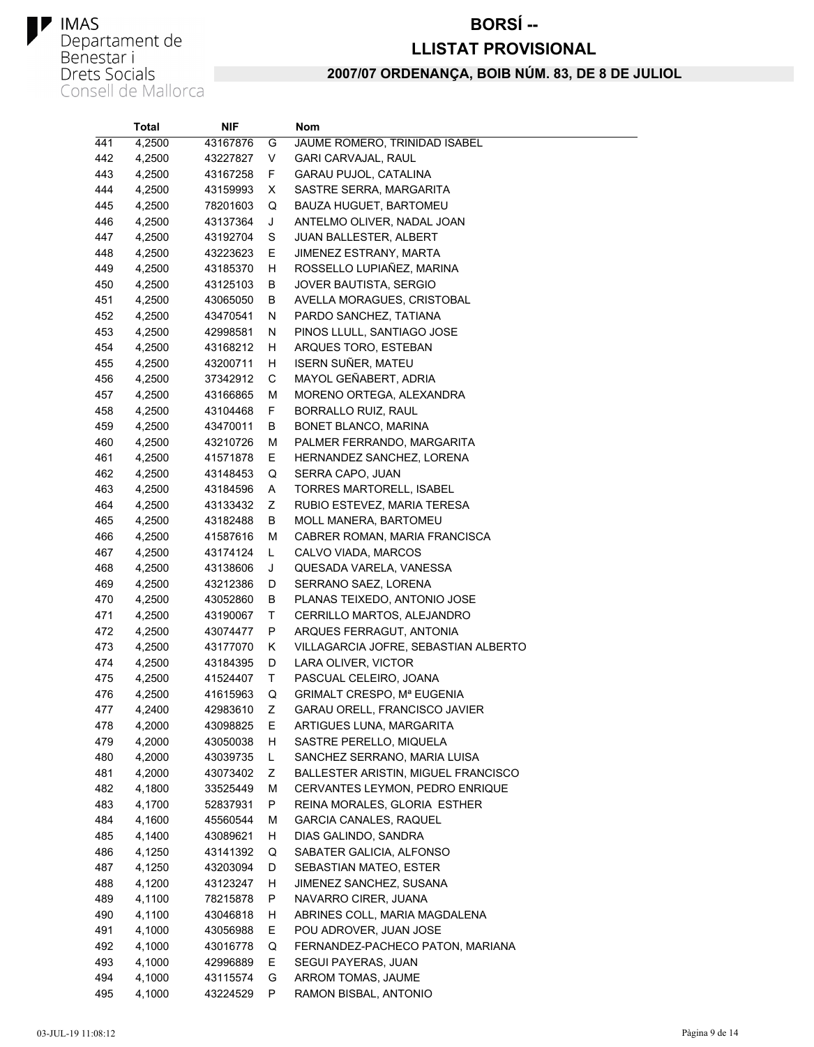#### **BORSÍ--**

#### **LLISTAT PROVISIONAL**

|     | Total  | NIF      |    | Nom                                  |
|-----|--------|----------|----|--------------------------------------|
| 441 | 4,2500 | 43167876 | G  | JAUME ROMERO, TRINIDAD ISABEL        |
| 442 | 4,2500 | 43227827 | V  | <b>GARI CARVAJAL, RAUL</b>           |
| 443 | 4,2500 | 43167258 | F. | GARAU PUJOL, CATALINA                |
| 444 | 4,2500 | 43159993 | X  | SASTRE SERRA, MARGARITA              |
| 445 | 4,2500 | 78201603 | Q  | BAUZA HUGUET, BARTOMEU               |
| 446 | 4,2500 | 43137364 | J  | ANTELMO OLIVER, NADAL JOAN           |
| 447 | 4,2500 | 43192704 | S  | JUAN BALLESTER, ALBERT               |
| 448 | 4,2500 | 43223623 | Е  | JIMENEZ ESTRANY, MARTA               |
| 449 | 4,2500 | 43185370 | н  | ROSSELLO LUPIAÑEZ, MARINA            |
| 450 | 4,2500 | 43125103 | В  | JOVER BAUTISTA, SERGIO               |
| 451 | 4,2500 | 43065050 | В  | AVELLA MORAGUES, CRISTOBAL           |
| 452 | 4,2500 | 43470541 | N  | PARDO SANCHEZ, TATIANA               |
| 453 | 4,2500 | 42998581 | N  | PINOS LLULL, SANTIAGO JOSE           |
| 454 | 4,2500 | 43168212 | H  | ARQUES TORO, ESTEBAN                 |
| 455 | 4,2500 | 43200711 | H  | ISERN SUÑER, MATEU                   |
| 456 | 4,2500 | 37342912 | С  | MAYOL GEÑABERT, ADRIA                |
| 457 | 4,2500 | 43166865 | М  | MORENO ORTEGA, ALEXANDRA             |
| 458 | 4,2500 | 43104468 | F  | BORRALLO RUIZ, RAUL                  |
| 459 | 4,2500 | 43470011 | В  | BONET BLANCO, MARINA                 |
| 460 | 4,2500 | 43210726 | М  | PALMER FERRANDO, MARGARITA           |
| 461 | 4,2500 | 41571878 | E  | HERNANDEZ SANCHEZ, LORENA            |
| 462 | 4,2500 | 43148453 | Q  | SERRA CAPO, JUAN                     |
| 463 | 4,2500 | 43184596 | Α  | TORRES MARTORELL, ISABEL             |
| 464 | 4,2500 | 43133432 | Ζ  | RUBIO ESTEVEZ, MARIA TERESA          |
| 465 | 4,2500 | 43182488 | В  | <b>MOLL MANERA, BARTOMEU</b>         |
| 466 | 4,2500 | 41587616 | М  | CABRER ROMAN, MARIA FRANCISCA        |
| 467 | 4,2500 | 43174124 | L  | CALVO VIADA, MARCOS                  |
| 468 | 4,2500 | 43138606 | J  | QUESADA VARELA, VANESSA              |
| 469 | 4,2500 | 43212386 | D  | SERRANO SAEZ, LORENA                 |
| 470 | 4,2500 | 43052860 | В  | PLANAS TEIXEDO, ANTONIO JOSE         |
| 471 | 4,2500 | 43190067 | Т  | CERRILLO MARTOS, ALEJANDRO           |
| 472 | 4,2500 | 43074477 | P  | ARQUES FERRAGUT, ANTONIA             |
| 473 | 4,2500 | 43177070 | Κ  | VILLAGARCIA JOFRE, SEBASTIAN ALBERTO |
| 474 | 4,2500 | 43184395 | D  | LARA OLIVER, VICTOR                  |
| 475 | 4,2500 | 41524407 | т  | PASCUAL CELEIRO, JOANA               |
| 476 | 4,2500 | 41615963 | Q  | GRIMALT CRESPO, Mª EUGENIA           |
| 477 | 4,2400 | 42983610 | Ζ  | GARAU ORELL, FRANCISCO JAVIER        |
| 478 | 4,2000 | 43098825 | E  | ARTIGUES LUNA, MARGARITA             |
| 479 | 4,2000 | 43050038 | H  | SASTRE PERELLO, MIQUELA              |
| 480 | 4,2000 | 43039735 | Г  | SANCHEZ SERRANO, MARIA LUISA         |
| 481 | 4,2000 | 43073402 | Ζ  | BALLESTER ARISTIN, MIGUEL FRANCISCO  |
| 482 | 4,1800 | 33525449 | М  | CERVANTES LEYMON, PEDRO ENRIQUE      |
| 483 | 4,1700 | 52837931 | P  | REINA MORALES, GLORIA ESTHER         |
| 484 | 4,1600 | 45560544 | М  | <b>GARCIA CANALES, RAQUEL</b>        |
| 485 | 4,1400 | 43089621 | H. | DIAS GALINDO, SANDRA                 |
| 486 | 4,1250 | 43141392 | Q  | SABATER GALICIA, ALFONSO             |
| 487 | 4,1250 | 43203094 | D  | SEBASTIAN MATEO, ESTER               |
| 488 | 4,1200 | 43123247 | н  | JIMENEZ SANCHEZ, SUSANA              |
| 489 | 4,1100 | 78215878 | P  | NAVARRO CIRER, JUANA                 |
| 490 | 4,1100 | 43046818 | H. | ABRINES COLL, MARIA MAGDALENA        |
| 491 | 4,1000 | 43056988 | E  | POU ADROVER, JUAN JOSE               |
| 492 | 4,1000 | 43016778 | Q  | FERNANDEZ-PACHECO PATON, MARIANA     |
| 493 | 4,1000 | 42996889 | Е  | SEGUI PAYERAS, JUAN                  |
| 494 | 4,1000 | 43115574 | G  | ARROM TOMAS, JAUME                   |
| 495 | 4,1000 | 43224529 | P  | RAMON BISBAL, ANTONIO                |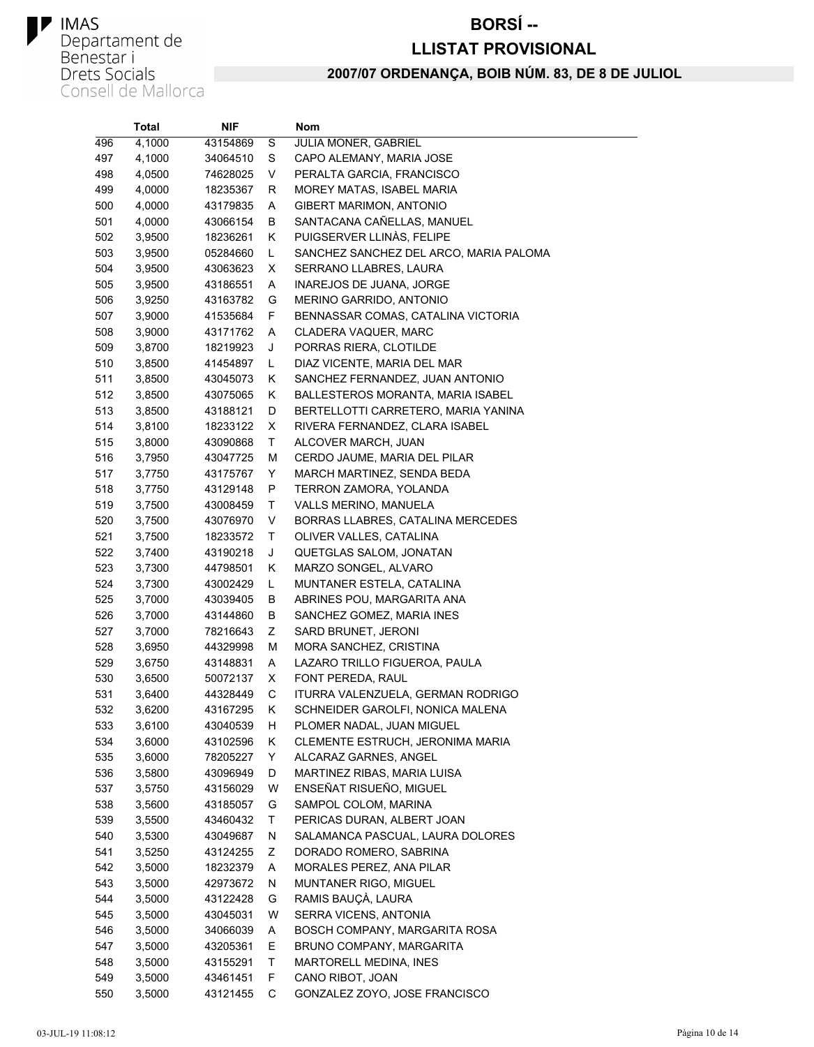#### **BORSÍ--**

#### **LLISTAT PROVISIONAL**

|     | <b>Total</b> | <b>NIF</b> |    | Nom                                    |
|-----|--------------|------------|----|----------------------------------------|
| 496 | 4,1000       | 43154869   | S  | JULIA MONER, GABRIEL                   |
| 497 | 4,1000       | 34064510   | S  | CAPO ALEMANY, MARIA JOSE               |
| 498 | 4,0500       | 74628025   | V  | PERALTA GARCIA, FRANCISCO              |
| 499 | 4,0000       | 18235367   | R  | MOREY MATAS, ISABEL MARIA              |
| 500 | 4,0000       | 43179835   | Α  | GIBERT MARIMON, ANTONIO                |
| 501 | 4,0000       | 43066154   | В  | SANTACANA CAÑELLAS, MANUEL             |
| 502 | 3,9500       | 18236261   | Κ  | PUIGSERVER LLINÀS, FELIPE              |
| 503 | 3,9500       | 05284660   | Г  | SANCHEZ SANCHEZ DEL ARCO, MARIA PALOMA |
| 504 | 3,9500       | 43063623   | х  | SERRANO LLABRES, LAURA                 |
| 505 | 3,9500       | 43186551   | Α  | INAREJOS DE JUANA, JORGE               |
| 506 | 3,9250       | 43163782   | G  | MERINO GARRIDO, ANTONIO                |
| 507 | 3,9000       | 41535684   | F  | BENNASSAR COMAS, CATALINA VICTORIA     |
| 508 | 3,9000       | 43171762   | Α  | CLADERA VAQUER, MARC                   |
| 509 | 3,8700       | 18219923   | J  | PORRAS RIERA, CLOTILDE                 |
| 510 | 3,8500       | 41454897   | Г  | DIAZ VICENTE, MARIA DEL MAR            |
| 511 | 3,8500       | 43045073   | Κ  | SANCHEZ FERNANDEZ, JUAN ANTONIO        |
| 512 | 3,8500       | 43075065   | Κ  | BALLESTEROS MORANTA, MARIA ISABEL      |
| 513 | 3,8500       | 43188121   | D  | BERTELLOTTI CARRETERO, MARIA YANINA    |
| 514 | 3,8100       | 18233122   | X  | RIVERA FERNANDEZ, CLARA ISABEL         |
| 515 | 3,8000       | 43090868   | Τ  | ALCOVER MARCH, JUAN                    |
| 516 | 3,7950       | 43047725   | М  | CERDO JAUME, MARIA DEL PILAR           |
| 517 | 3,7750       | 43175767   | Υ  | MARCH MARTINEZ, SENDA BEDA             |
| 518 | 3,7750       | 43129148   | P  | TERRON ZAMORA, YOLANDA                 |
| 519 | 3,7500       | 43008459   | Т  | VALLS MERINO, MANUELA                  |
| 520 | 3,7500       | 43076970   | V  | BORRAS LLABRES, CATALINA MERCEDES      |
| 521 | 3,7500       | 18233572   | Τ  | OLIVER VALLES, CATALINA                |
| 522 | 3,7400       | 43190218   | J  | QUETGLAS SALOM, JONATAN                |
| 523 | 3,7300       | 44798501   | Κ  | MARZO SONGEL, ALVARO                   |
| 524 | 3,7300       | 43002429   | Г  | MUNTANER ESTELA, CATALINA              |
| 525 | 3,7000       | 43039405   | В  | ABRINES POU, MARGARITA ANA             |
| 526 | 3,7000       | 43144860   | В  | SANCHEZ GOMEZ, MARIA INES              |
| 527 | 3,7000       | 78216643   | Ζ  | SARD BRUNET, JERONI                    |
| 528 | 3,6950       | 44329998   | М  | MORA SANCHEZ, CRISTINA                 |
| 529 | 3,6750       | 43148831   | Α  | LAZARO TRILLO FIGUEROA, PAULA          |
| 530 | 3,6500       | 50072137   | X  | FONT PEREDA, RAUL                      |
| 531 | 3,6400       | 44328449   | С  | ITURRA VALENZUELA, GERMAN RODRIGO      |
| 532 | 3,6200       | 43167295   | Κ  | SCHNEIDER GAROLFI, NONICA MALENA       |
| 533 | 3,6100       | 43040539   | н  | PLOMER NADAL, JUAN MIGUEL              |
| 534 | 3,6000       | 43102596   | Κ  | CLEMENTE ESTRUCH, JERONIMA MARIA       |
| 535 | 3,6000       | 78205227   | Y  | ALCARAZ GARNES, ANGEL                  |
| 536 | 3,5800       | 43096949   | D  | MARTINEZ RIBAS, MARIA LUISA            |
| 537 | 3,5750       | 43156029   | W  | ENSEÑAT RISUEÑO, MIGUEL                |
| 538 | 3,5600       | 43185057   | G  | SAMPOL COLOM, MARINA                   |
| 539 | 3,5500       | 43460432   | Τ  | PERICAS DURAN, ALBERT JOAN             |
| 540 | 3,5300       | 43049687   | N  | SALAMANCA PASCUAL, LAURA DOLORES       |
| 541 | 3,5250       | 43124255   | Ζ  | DORADO ROMERO, SABRINA                 |
| 542 | 3,5000       | 18232379   | Α  | MORALES PEREZ, ANA PILAR               |
| 543 | 3,5000       | 42973672   | Ν  | MUNTANER RIGO, MIGUEL                  |
| 544 | 3,5000       | 43122428   | G  | RAMIS BAUÇÀ, LAURA                     |
| 545 | 3,5000       | 43045031   | W  | SERRA VICENS, ANTONIA                  |
| 546 | 3,5000       | 34066039   | A  | BOSCH COMPANY, MARGARITA ROSA          |
| 547 | 3,5000       | 43205361   | E. | BRUNO COMPANY, MARGARITA               |
| 548 | 3,5000       | 43155291   | Τ  | MARTORELL MEDINA, INES                 |
| 549 | 3,5000       | 43461451   | F  | CANO RIBOT, JOAN                       |
| 550 | 3,5000       | 43121455   | C  | GONZALEZ ZOYO, JOSE FRANCISCO          |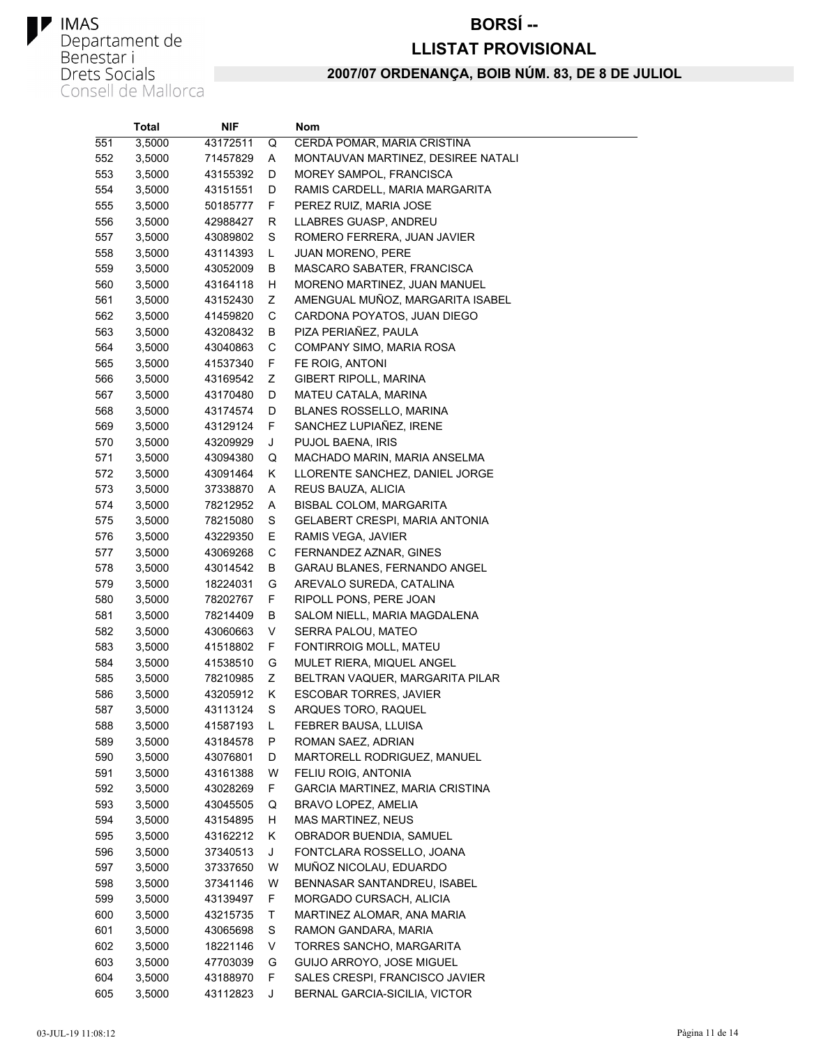#### **BORSÍ--**

#### **LLISTAT PROVISIONAL**

|     | <b>Total</b> | NIF      |   | Nom                                  |
|-----|--------------|----------|---|--------------------------------------|
| 551 | 3,5000       | 43172511 | Q | CERDÁ POMAR, MARIA CRISTINA          |
| 552 | 3,5000       | 71457829 | Α | MONTAUVAN MARTINEZ, DESIREE NATALI   |
| 553 | 3,5000       | 43155392 | D | MOREY SAMPOL, FRANCISCA              |
| 554 | 3,5000       | 43151551 | D | RAMIS CARDELL, MARIA MARGARITA       |
| 555 | 3,5000       | 50185777 | F | PEREZ RUIZ, MARIA JOSE               |
| 556 | 3,5000       | 42988427 | R | LLABRES GUASP, ANDREU                |
| 557 | 3,5000       | 43089802 | S | ROMERO FERRERA, JUAN JAVIER          |
| 558 | 3,5000       | 43114393 | Г | <b>JUAN MORENO, PERE</b>             |
| 559 | 3,5000       | 43052009 | В | MASCARO SABATER, FRANCISCA           |
| 560 | 3,5000       | 43164118 | н | MORENO MARTINEZ, JUAN MANUEL         |
| 561 | 3,5000       | 43152430 | Ζ | AMENGUAL MUÑOZ, MARGARITA ISABEL     |
| 562 | 3,5000       | 41459820 | С | CARDONA POYATOS, JUAN DIEGO          |
| 563 | 3,5000       | 43208432 | В | PIZA PERIAÑEZ, PAULA                 |
| 564 | 3,5000       | 43040863 | С | COMPANY SIMO, MARIA ROSA             |
| 565 | 3,5000       | 41537340 | F | FE ROIG, ANTONI                      |
| 566 | 3,5000       | 43169542 | Ζ | GIBERT RIPOLL, MARINA                |
| 567 | 3,5000       | 43170480 | D | MATEU CATALA, MARINA                 |
| 568 | 3,5000       | 43174574 | D | <b>BLANES ROSSELLO, MARINA</b>       |
| 569 | 3,5000       | 43129124 | F | SANCHEZ LUPIAÑEZ, IRENE              |
| 570 | 3,5000       | 43209929 | J | PUJOL BAENA, IRIS                    |
| 571 | 3,5000       | 43094380 | Q | MACHADO MARIN, MARIA ANSELMA         |
| 572 | 3,5000       | 43091464 | Κ | LLORENTE SANCHEZ, DANIEL JORGE       |
| 573 | 3,5000       | 37338870 | Α | REUS BAUZA, ALICIA                   |
| 574 | 3,5000       | 78212952 | Α | BISBAL COLOM, MARGARITA              |
| 575 | 3,5000       | 78215080 | S | GELABERT CRESPI, MARIA ANTONIA       |
| 576 | 3,5000       | 43229350 | Ε | RAMIS VEGA, JAVIER                   |
| 577 | 3,5000       | 43069268 | C | FERNANDEZ AZNAR, GINES               |
| 578 | 3,5000       | 43014542 | В | GARAU BLANES, FERNANDO ANGEL         |
| 579 | 3,5000       | 18224031 | G | AREVALO SUREDA, CATALINA             |
| 580 | 3,5000       | 78202767 | F | RIPOLL PONS, PERE JOAN               |
| 581 | 3,5000       | 78214409 | В | SALOM NIELL, MARIA MAGDALENA         |
| 582 | 3,5000       | 43060663 | V | SERRA PALOU, MATEO                   |
| 583 | 3,5000       | 41518802 | F | FONTIRROIG MOLL, MATEU               |
| 584 | 3,5000       | 41538510 | G | MULET RIERA, MIQUEL ANGEL            |
| 585 | 3,5000       | 78210985 | Ζ | BELTRAN VAQUER, MARGARITA PILAR      |
| 586 | 3,5000       | 43205912 | Κ | ESCOBAR TORRES, JAVIER               |
| 587 | 3,5000       | 43113124 | S | ARQUES TORO, RAQUEL                  |
| 588 | 3,5000       | 41587193 | L | FEBRER BAUSA, LLUISA                 |
| 589 | 3,5000       | 43184578 | Ρ | ROMAN SAEZ, ADRIAN                   |
| 590 | 3,5000       | 43076801 | D | MARTORELL RODRIGUEZ, MANUEL          |
| 591 | 3,5000       | 43161388 | W | FELIU ROIG, ANTONIA                  |
| 592 | 3,5000       | 43028269 | F | GARCIA MARTINEZ, MARIA CRISTINA      |
| 593 | 3,5000       | 43045505 | Q | BRAVO LOPEZ, AMELIA                  |
| 594 | 3,5000       | 43154895 | н | MAS MARTINEZ, NEUS                   |
| 595 | 3,5000       | 43162212 | Κ | OBRADOR BUENDIA, SAMUEL              |
| 596 | 3,5000       | 37340513 | J | FONTCLARA ROSSELLO, JOANA            |
| 597 | 3,5000       | 37337650 | W | MUÑOZ NICOLAU, EDUARDO               |
| 598 | 3,5000       | 37341146 | W | BENNASAR SANTANDREU, ISABEL          |
| 599 | 3,5000       | 43139497 | F | MORGADO CURSACH, ALICIA              |
| 600 | 3,5000       | 43215735 | Τ | MARTINEZ ALOMAR, ANA MARIA           |
| 601 | 3,5000       | 43065698 | S | RAMON GANDARA, MARIA                 |
| 602 | 3,5000       | 18221146 | V | TORRES SANCHO, MARGARITA             |
| 603 | 3,5000       | 47703039 | G | GUIJO ARROYO, JOSE MIGUEL            |
| 604 | 3,5000       | 43188970 | F | SALES CRESPI, FRANCISCO JAVIER       |
| 605 | 3.5000       | 43112823 | J | <b>BERNAL GARCIA-SICILIA, VICTOR</b> |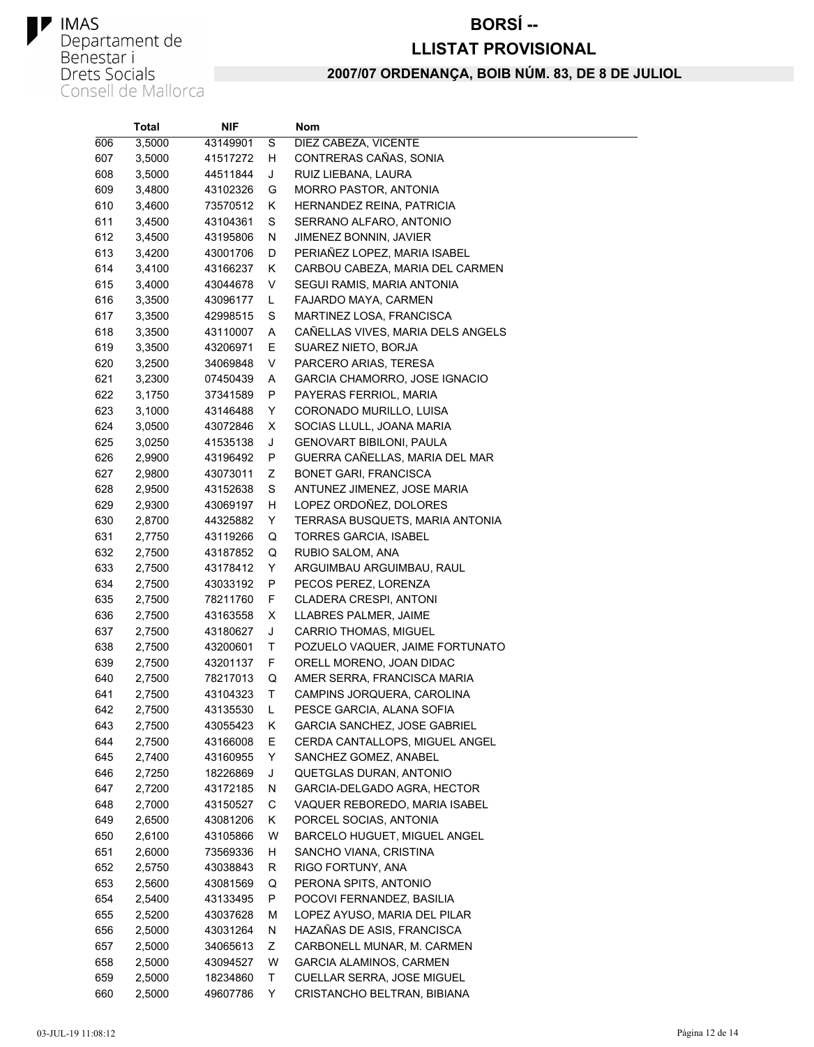## **TRAS**<br> **Departament de<br>
Benestar i<br>
Drets Socials<br>
Consell de Mallorca**

#### **BORSÍ--**

#### **LLISTAT PROVISIONAL**

|     | <b>Total</b> | NIF      |    | Nom                               |
|-----|--------------|----------|----|-----------------------------------|
| 606 | 3,5000       | 43149901 | S  | DIEZ CABEZA, VICENTE              |
| 607 | 3,5000       | 41517272 | н  | CONTRERAS CAÑAS, SONIA            |
| 608 | 3,5000       | 44511844 | J  | RUIZ LIEBANA, LAURA               |
| 609 | 3,4800       | 43102326 | G  | <b>MORRO PASTOR, ANTONIA</b>      |
| 610 | 3,4600       | 73570512 | Κ  | HERNANDEZ REINA, PATRICIA         |
| 611 | 3,4500       | 43104361 | S  | SERRANO ALFARO, ANTONIO           |
| 612 | 3,4500       | 43195806 | N  | JIMENEZ BONNIN, JAVIER            |
| 613 | 3,4200       | 43001706 | D  | PERIAÑEZ LOPEZ, MARIA ISABEL      |
| 614 | 3,4100       | 43166237 | Κ  | CARBOU CABEZA, MARIA DEL CARMEN   |
| 615 | 3,4000       | 43044678 | V  | SEGUI RAMIS, MARIA ANTONIA        |
| 616 | 3,3500       | 43096177 | L. | FAJARDO MAYA, CARMEN              |
| 617 | 3,3500       | 42998515 | S  | MARTINEZ LOSA, FRANCISCA          |
| 618 | 3,3500       | 43110007 | Α  | CAÑELLAS VIVES, MARIA DELS ANGELS |
| 619 | 3,3500       | 43206971 | Е  | SUAREZ NIETO, BORJA               |
| 620 | 3,2500       | 34069848 | V  | PARCERO ARIAS, TERESA             |
| 621 | 3,2300       | 07450439 | A  | GARCIA CHAMORRO, JOSE IGNACIO     |
| 622 | 3,1750       | 37341589 | P  | PAYERAS FERRIOL, MARIA            |
| 623 | 3,1000       | 43146488 | Y  | CORONADO MURILLO, LUISA           |
| 624 | 3,0500       | 43072846 | X  | SOCIAS LLULL, JOANA MARIA         |
| 625 | 3,0250       | 41535138 | J  | GENOVART BIBILONI, PAULA          |
| 626 | 2,9900       | 43196492 | P  | GUERRA CAÑELLAS, MARIA DEL MAR    |
| 627 | 2,9800       | 43073011 | Ζ  | <b>BONET GARI, FRANCISCA</b>      |
| 628 | 2,9500       | 43152638 | S  | ANTUNEZ JIMENEZ, JOSE MARIA       |
| 629 | 2,9300       | 43069197 | н  | LOPEZ ORDOÑEZ, DOLORES            |
| 630 | 2,8700       | 44325882 | Y  | TERRASA BUSQUETS, MARIA ANTONIA   |
| 631 | 2,7750       | 43119266 | Q  | TORRES GARCIA, ISABEL             |
| 632 | 2,7500       | 43187852 | Q  | RUBIO SALOM, ANA                  |
| 633 | 2,7500       | 43178412 | Y  | ARGUIMBAU ARGUIMBAU, RAUL         |
| 634 | 2,7500       | 43033192 | P  | PECOS PEREZ, LORENZA              |
| 635 | 2,7500       | 78211760 | F. | CLADERA CRESPI, ANTONI            |
| 636 | 2,7500       | 43163558 | X  | LLABRES PALMER, JAIME             |
| 637 | 2,7500       | 43180627 | J  | <b>CARRIO THOMAS, MIGUEL</b>      |
| 638 | 2,7500       | 43200601 | Τ  | POZUELO VAQUER, JAIME FORTUNATO   |
| 639 | 2,7500       | 43201137 | F  | ORELL MORENO, JOAN DIDAC          |
| 640 | 2,7500       | 78217013 | Q  | AMER SERRA, FRANCISCA MARIA       |
| 641 | 2,7500       | 43104323 | Τ  | CAMPINS JORQUERA, CAROLINA        |
| 642 | 2,7500       | 43135530 | L  | PESCE GARCIA, ALANA SOFIA         |
| 643 | 2,7500       | 43055423 | Κ  | GARCIA SANCHEZ, JOSE GABRIEL      |
| 644 | 2,7500       | 43166008 | Ε  | CERDA CANTALLOPS, MIGUEL ANGEL    |
| 645 | 2,7400       | 43160955 | Y  | SANCHEZ GOMEZ, ANABEL             |
| 646 | 2,7250       | 18226869 | J  | QUETGLAS DURAN, ANTONIO           |
| 647 | 2,7200       | 43172185 | N  | GARCIA-DELGADO AGRA, HECTOR       |
| 648 | 2,7000       | 43150527 | С  | VAQUER REBOREDO, MARIA ISABEL     |
| 649 | 2,6500       | 43081206 | K. | PORCEL SOCIAS, ANTONIA            |
| 650 | 2,6100       | 43105866 | W  | BARCELO HUGUET, MIGUEL ANGEL      |
| 651 | 2,6000       | 73569336 | H. | SANCHO VIANA, CRISTINA            |
| 652 | 2,5750       | 43038843 | R  | RIGO FORTUNY, ANA                 |
| 653 | 2,5600       | 43081569 | Q  | PERONA SPITS, ANTONIO             |
| 654 | 2,5400       | 43133495 | P  | POCOVI FERNANDEZ, BASILIA         |
| 655 | 2,5200       | 43037628 | М  | LOPEZ AYUSO, MARIA DEL PILAR      |
| 656 | 2,5000       | 43031264 | N  | HAZAÑAS DE ASIS, FRANCISCA        |
| 657 | 2,5000       | 34065613 | Ζ  | CARBONELL MUNAR, M. CARMEN        |
| 658 | 2,5000       | 43094527 | W  | GARCIA ALAMINOS, CARMEN           |
| 659 | 2,5000       | 18234860 | Τ  | CUELLAR SERRA, JOSE MIGUEL        |
| 660 | 2,5000       | 49607786 | Y. | CRISTANCHO BELTRAN, BIBIANA       |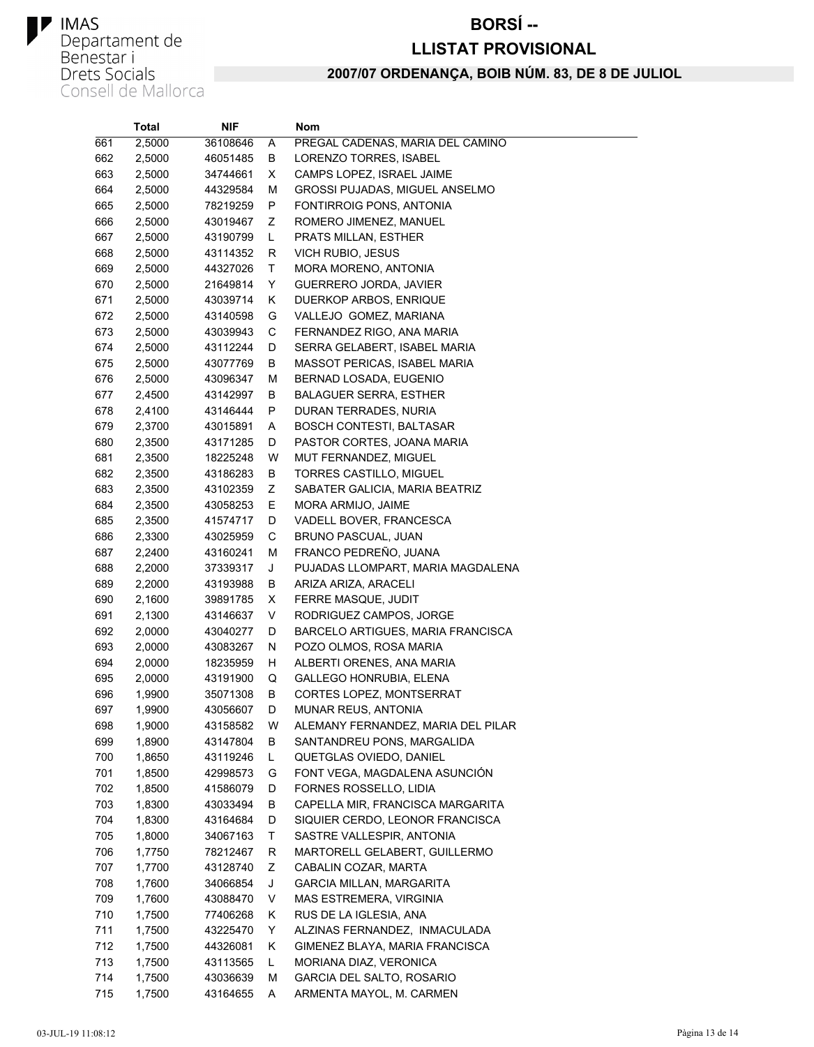#### **BORSÍ--**

#### **LLISTAT PROVISIONAL**

|     | Total  | NIF      |    | Nom                                |
|-----|--------|----------|----|------------------------------------|
| 661 | 2,5000 | 36108646 | Α  | PREGAL CADENAS, MARIA DEL CAMINO   |
| 662 | 2,5000 | 46051485 | В  | LORENZO TORRES, ISABEL             |
| 663 | 2,5000 | 34744661 | X  | CAMPS LOPEZ, ISRAEL JAIME          |
| 664 | 2,5000 | 44329584 | М  | GROSSI PUJADAS, MIGUEL ANSELMO     |
| 665 | 2,5000 | 78219259 | P  | FONTIRROIG PONS, ANTONIA           |
| 666 | 2,5000 | 43019467 | Ζ  | ROMERO JIMENEZ, MANUEL             |
| 667 | 2,5000 | 43190799 | Г  | PRATS MILLAN, ESTHER               |
| 668 | 2,5000 | 43114352 | R  | VICH RUBIO, JESUS                  |
| 669 | 2,5000 | 44327026 | T  | MORA MORENO, ANTONIA               |
| 670 | 2,5000 | 21649814 | Y  | GUERRERO JORDA, JAVIER             |
| 671 | 2,5000 | 43039714 | Κ  | DUERKOP ARBOS, ENRIQUE             |
| 672 | 2,5000 | 43140598 | G  | VALLEJO GOMEZ, MARIANA             |
| 673 | 2,5000 | 43039943 | С  | FERNANDEZ RIGO, ANA MARIA          |
| 674 | 2,5000 | 43112244 | D  | SERRA GELABERT, ISABEL MARIA       |
| 675 | 2,5000 | 43077769 | В  | MASSOT PERICAS, ISABEL MARIA       |
| 676 | 2,5000 | 43096347 | М  | BERNAD LOSADA, EUGENIO             |
| 677 | 2,4500 | 43142997 | В  | <b>BALAGUER SERRA, ESTHER</b>      |
| 678 | 2,4100 | 43146444 | P  | DURAN TERRADES, NURIA              |
| 679 | 2,3700 | 43015891 | Α  | <b>BOSCH CONTESTI, BALTASAR</b>    |
| 680 | 2,3500 | 43171285 | D  | PASTOR CORTES, JOANA MARIA         |
| 681 | 2,3500 | 18225248 | W  | MUT FERNANDEZ, MIGUEL              |
| 682 | 2,3500 | 43186283 | В  | TORRES CASTILLO, MIGUEL            |
| 683 | 2,3500 | 43102359 | Ζ  | SABATER GALICIA, MARIA BEATRIZ     |
| 684 | 2,3500 | 43058253 | Ε  | MORA ARMIJO, JAIME                 |
| 685 | 2,3500 | 41574717 | D  | VADELL BOVER, FRANCESCA            |
| 686 | 2,3300 | 43025959 | C  | BRUNO PASCUAL, JUAN                |
| 687 | 2,2400 | 43160241 | М  | FRANCO PEDREÑO, JUANA              |
| 688 | 2,2000 | 37339317 | J  | PUJADAS LLOMPART, MARIA MAGDALENA  |
| 689 | 2,2000 | 43193988 | В  | ARIZA ARIZA, ARACELI               |
| 690 | 2,1600 | 39891785 | X  | FERRE MASQUE, JUDIT                |
| 691 | 2,1300 | 43146637 | V  | RODRIGUEZ CAMPOS, JORGE            |
| 692 | 2,0000 | 43040277 | D  | BARCELO ARTIGUES, MARIA FRANCISCA  |
| 693 | 2,0000 | 43083267 | N  | POZO OLMOS, ROSA MARIA             |
| 694 | 2,0000 | 18235959 | н  | ALBERTI ORENES, ANA MARIA          |
| 695 | 2,0000 | 43191900 | Q  | GALLEGO HONRUBIA, ELENA            |
| 696 | 1,9900 | 35071308 | В  | CORTES LOPEZ, MONTSERRAT           |
| 697 | 1,9900 | 43056607 | D  | MUNAR REUS, ANTONIA                |
| 698 | 1,9000 | 43158582 | W  | ALEMANY FERNANDEZ, MARIA DEL PILAR |
| 699 | 1,8900 | 43147804 | В  | SANTANDREU PONS, MARGALIDA         |
| 700 | 1,8650 | 43119246 | L  | QUETGLAS OVIEDO, DANIEL            |
| 701 | 1,8500 | 42998573 | G  | FONT VEGA, MAGDALENA ASUNCIÓN      |
| 702 | 1,8500 | 41586079 | D  | FORNES ROSSELLO, LIDIA             |
| 703 | 1,8300 | 43033494 | В  | CAPELLA MIR, FRANCISCA MARGARITA   |
| 704 | 1,8300 | 43164684 | D  | SIQUIER CERDO, LEONOR FRANCISCA    |
| 705 | 1,8000 | 34067163 | Τ  | SASTRE VALLESPIR, ANTONIA          |
| 706 | 1,7750 | 78212467 | R  | MARTORELL GELABERT, GUILLERMO      |
| 707 | 1,7700 | 43128740 | Ζ  | CABALIN COZAR, MARTA               |
| 708 | 1,7600 | 34066854 | J  | <b>GARCIA MILLAN, MARGARITA</b>    |
| 709 | 1,7600 | 43088470 | V  | MAS ESTREMERA, VIRGINIA            |
| 710 | 1,7500 | 77406268 | Κ  | RUS DE LA IGLESIA, ANA             |
| 711 | 1,7500 | 43225470 | Y  | ALZINAS FERNANDEZ, INMACULADA      |
| 712 | 1,7500 | 44326081 | κ  | GIMENEZ BLAYA, MARIA FRANCISCA     |
| 713 | 1,7500 | 43113565 | L. | MORIANA DIAZ, VERONICA             |
| 714 | 1,7500 | 43036639 | М  | GARCIA DEL SALTO, ROSARIO          |
| 715 | 1,7500 | 43164655 | Α  | ARMENTA MAYOL, M. CARMEN           |